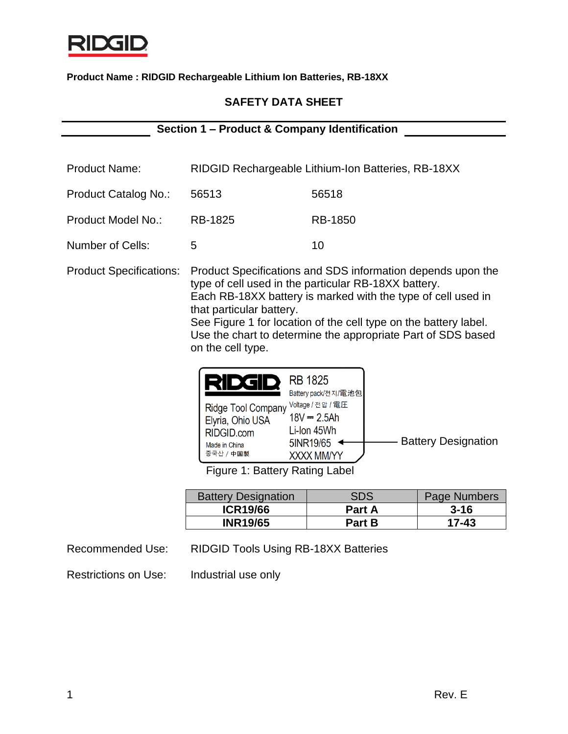

# **SAFETY DATA SHEET**

**Section 1 – Product & Company Identification**

| <b>Product Name:</b>           | RIDGID Rechargeable Lithium-Ion Batteries, RB-18XX                                                                                                                                  |         |
|--------------------------------|-------------------------------------------------------------------------------------------------------------------------------------------------------------------------------------|---------|
| <b>Product Catalog No.:</b>    | 56513                                                                                                                                                                               | 56518   |
| <b>Product Model No.:</b>      | <b>RB-1825</b>                                                                                                                                                                      | RB-1850 |
| Number of Cells:               | 5                                                                                                                                                                                   | 10      |
| <b>Product Specifications:</b> | Product Specifications and SDS information depends upon the<br>type of cell used in the particular RB-18XX battery.<br>Each RB-18XX battery is marked with the type of cell used in |         |

that particular battery. See Figure 1 for location of the cell type on the battery label. Use the chart to determine the appropriate Part of SDS based on the cell type.

| <b>KT</b>                                                                          | <b>RB 1825</b><br>Battery pack/전지/電池包                                        |                            |
|------------------------------------------------------------------------------------|------------------------------------------------------------------------------|----------------------------|
| Ridge Tool Company<br>Elyria, Ohio USA<br>RIDGID.com<br>Made in China<br>중국산 / 中国製 | Voltage / 전압 / 電圧<br>$18V = 2.5Ah$<br>Li-Ion 45Wh<br>5INR19/65<br>XXXX MM/YY | <b>Battery Designation</b> |

Figure 1: Battery Rating Label

| <b>Battery Designation</b> | SDS           | Page Numbers |
|----------------------------|---------------|--------------|
| <b>ICR19/66</b>            | <b>Part A</b> | $3 - 16$     |
| <b>INR19/65</b>            | <b>Part B</b> | 17-43        |

Recommended Use: RIDGID Tools Using RB-18XX Batteries

Restrictions on Use: Industrial use only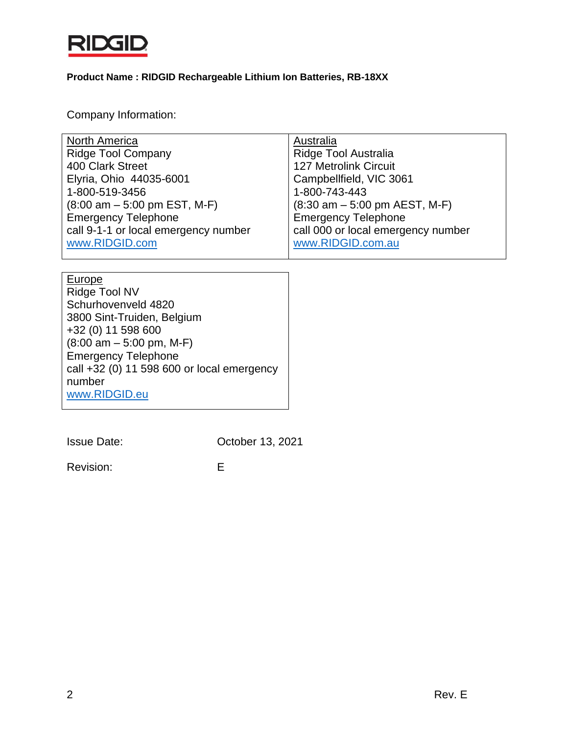

Company Information:

| <b>North America</b>                                  | Australia                                                       |
|-------------------------------------------------------|-----------------------------------------------------------------|
| <b>Ridge Tool Company</b>                             | Ridge Tool Australia                                            |
| 400 Clark Street                                      | <b>127 Metrolink Circuit</b>                                    |
| Elyria, Ohio 44035-6001                               | Campbellfield, VIC 3061                                         |
| 1-800-519-3456                                        | 1-800-743-443                                                   |
| $(8:00 \text{ am} - 5:00 \text{ pm EST}, \text{M-F})$ | $(8:30 \text{ am} - 5:00 \text{ pm} \text{ AEST}, \text{ M-F})$ |
| <b>Emergency Telephone</b>                            | <b>Emergency Telephone</b>                                      |
| call 9-1-1 or local emergency number                  | call 000 or local emergency number                              |
| www.RIDGID.com                                        | www.RIDGID.com.au                                               |
|                                                       |                                                                 |
|                                                       |                                                                 |
|                                                       |                                                                 |
| <b>Europe</b>                                         |                                                                 |
| Ridge Tool NV                                         |                                                                 |
| Schurhovenveld 4820                                   |                                                                 |
| 3800 Sint-Truiden, Belgium                            |                                                                 |
| +32 (0) 11 598 600                                    |                                                                 |
| $(8:00 \text{ am} - 5:00 \text{ pm}, \text{M-F})$     |                                                                 |
| <b>Emergency Telephone</b>                            |                                                                 |
| call +32 (0) 11 598 600 or local emergency            |                                                                 |
| number                                                |                                                                 |
| www.RIDGID.eu                                         |                                                                 |

Issue Date: October 13, 2021

Revision: E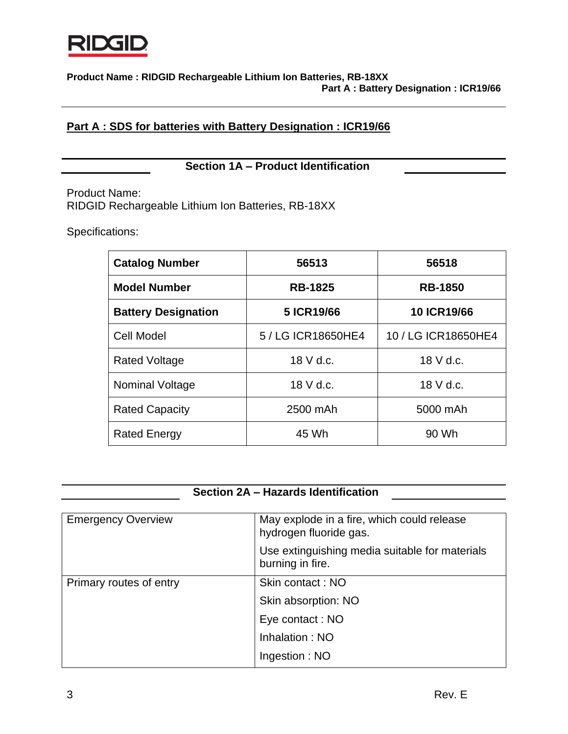

# **Part A : SDS for batteries with Battery Designation : ICR19/66**

# **Section 1A – Product Identification**

Product Name: RIDGID Rechargeable Lithium Ion Batteries, RB-18XX

Specifications:

| <b>Catalog Number</b>      | 56513              | 56518               |
|----------------------------|--------------------|---------------------|
| <b>Model Number</b>        | <b>RB-1825</b>     | <b>RB-1850</b>      |
| <b>Battery Designation</b> | 5 ICR19/66         | <b>10 ICR19/66</b>  |
| <b>Cell Model</b>          | 5 / LG ICR18650HE4 | 10 / LG ICR18650HE4 |
| <b>Rated Voltage</b>       | 18 V d.c.          | 18 V d.c.           |
| Nominal Voltage            | 18 V d.c.          | 18 V d.c.           |
| <b>Rated Capacity</b>      | 2500 mAh           | 5000 mAh            |
| <b>Rated Energy</b>        | 45 Wh              | 90 Wh               |

# **Section 2A – Hazards Identification**

| <b>Emergency Overview</b> | May explode in a fire, which could release<br>hydrogen fluoride gas. |
|---------------------------|----------------------------------------------------------------------|
|                           | Use extinguishing media suitable for materials<br>burning in fire.   |
| Primary routes of entry   | Skin contact: NO                                                     |
|                           | Skin absorption: NO                                                  |
|                           | Eye contact: NO                                                      |
|                           | Inhalation: NO                                                       |
|                           | Ingestion: NO                                                        |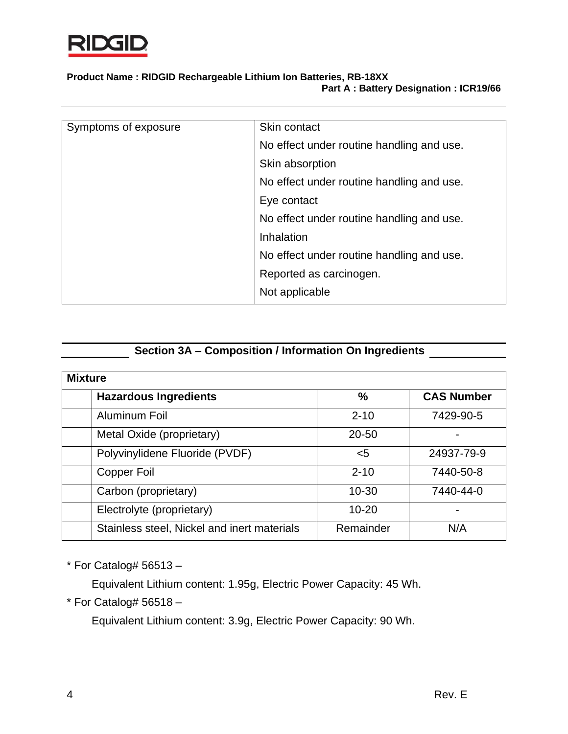

| Symptoms of exposure | Skin contact                              |
|----------------------|-------------------------------------------|
|                      | No effect under routine handling and use. |
|                      | Skin absorption                           |
|                      | No effect under routine handling and use. |
|                      | Eye contact                               |
|                      | No effect under routine handling and use. |
|                      | Inhalation                                |
|                      | No effect under routine handling and use. |
|                      | Reported as carcinogen.                   |
|                      | Not applicable                            |

# **Section 3A – Composition / Information On Ingredients**

| <b>Mixture</b>                              |               |                   |  |
|---------------------------------------------|---------------|-------------------|--|
| <b>Hazardous Ingredients</b>                | $\frac{0}{0}$ | <b>CAS Number</b> |  |
| Aluminum Foil                               | $2 - 10$      | 7429-90-5         |  |
| Metal Oxide (proprietary)                   | $20 - 50$     |                   |  |
| Polyvinylidene Fluoride (PVDF)              | $<$ 5         | 24937-79-9        |  |
| Copper Foil                                 | $2 - 10$      | 7440-50-8         |  |
| Carbon (proprietary)                        | $10 - 30$     | 7440-44-0         |  |
| Electrolyte (proprietary)                   | $10 - 20$     | -                 |  |
| Stainless steel, Nickel and inert materials | Remainder     | N/A               |  |

 $*$  For Catalog# 56513 -

Equivalent Lithium content: 1.95g, Electric Power Capacity: 45 Wh.

 $*$  For Catalog# 56518 -

Equivalent Lithium content: 3.9g, Electric Power Capacity: 90 Wh.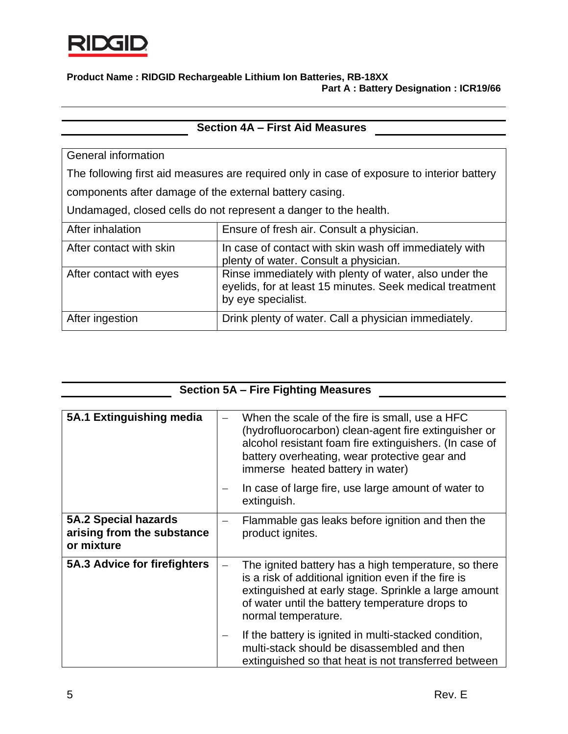

| <b>Section 4A - First Aid Measures</b>                                                     |                                                                                                                                          |  |
|--------------------------------------------------------------------------------------------|------------------------------------------------------------------------------------------------------------------------------------------|--|
|                                                                                            |                                                                                                                                          |  |
| General information                                                                        |                                                                                                                                          |  |
| The following first aid measures are required only in case of exposure to interior battery |                                                                                                                                          |  |
| components after damage of the external battery casing.                                    |                                                                                                                                          |  |
| Undamaged, closed cells do not represent a danger to the health.                           |                                                                                                                                          |  |
| After inhalation                                                                           | Ensure of fresh air. Consult a physician.                                                                                                |  |
| After contact with skin                                                                    | In case of contact with skin wash off immediately with<br>plenty of water. Consult a physician.                                          |  |
| After contact with eyes                                                                    | Rinse immediately with plenty of water, also under the<br>eyelids, for at least 15 minutes. Seek medical treatment<br>by eye specialist. |  |
| After ingestion                                                                            | Drink plenty of water. Call a physician immediately.                                                                                     |  |

| <b>Section 5A - Fire Fighting Measures</b>                              |                                                                                                                                                                                                                                                       |  |
|-------------------------------------------------------------------------|-------------------------------------------------------------------------------------------------------------------------------------------------------------------------------------------------------------------------------------------------------|--|
|                                                                         |                                                                                                                                                                                                                                                       |  |
| 5A.1 Extinguishing media                                                | When the scale of the fire is small, use a HFC<br>(hydrofluorocarbon) clean-agent fire extinguisher or<br>alcohol resistant foam fire extinguishers. (In case of<br>battery overheating, wear protective gear and<br>immerse heated battery in water) |  |
|                                                                         | In case of large fire, use large amount of water to<br>extinguish.                                                                                                                                                                                    |  |
| <b>5A.2 Special hazards</b><br>arising from the substance<br>or mixture | Flammable gas leaks before ignition and then the<br>product ignites.                                                                                                                                                                                  |  |
| 5A.3 Advice for firefighters                                            | The ignited battery has a high temperature, so there<br>is a risk of additional ignition even if the fire is<br>extinguished at early stage. Sprinkle a large amount<br>of water until the battery temperature drops to<br>normal temperature.        |  |
|                                                                         | If the battery is ignited in multi-stacked condition,<br>multi-stack should be disassembled and then<br>extinguished so that heat is not transferred between                                                                                          |  |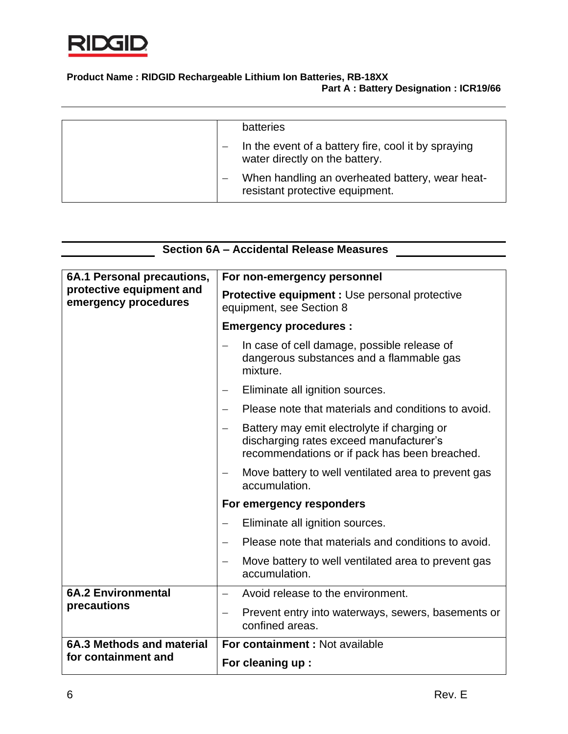

| <b>batteries</b>                                                                      |
|---------------------------------------------------------------------------------------|
| In the event of a battery fire, cool it by spraying<br>water directly on the battery. |
| When handling an overheated battery, wear heat-<br>resistant protective equipment.    |

| Section 6A - Accidental Release Measures |  |
|------------------------------------------|--|
|                                          |  |
|                                          |  |

| 6A.1 Personal precautions,<br>protective equipment and<br>emergency procedures | For non-emergency personnel                                                                                                             |  |  |  |
|--------------------------------------------------------------------------------|-----------------------------------------------------------------------------------------------------------------------------------------|--|--|--|
|                                                                                | <b>Protective equipment : Use personal protective</b><br>equipment, see Section 8                                                       |  |  |  |
|                                                                                | <b>Emergency procedures:</b>                                                                                                            |  |  |  |
|                                                                                | In case of cell damage, possible release of<br>—<br>dangerous substances and a flammable gas<br>mixture.                                |  |  |  |
|                                                                                | Eliminate all ignition sources.<br>—                                                                                                    |  |  |  |
|                                                                                | Please note that materials and conditions to avoid.                                                                                     |  |  |  |
|                                                                                | Battery may emit electrolyte if charging or<br>discharging rates exceed manufacturer's<br>recommendations or if pack has been breached. |  |  |  |
|                                                                                | Move battery to well ventilated area to prevent gas<br>accumulation.                                                                    |  |  |  |
|                                                                                | For emergency responders                                                                                                                |  |  |  |
|                                                                                | Eliminate all ignition sources.                                                                                                         |  |  |  |
|                                                                                | Please note that materials and conditions to avoid.<br>$\overline{\phantom{0}}$                                                         |  |  |  |
|                                                                                | Move battery to well ventilated area to prevent gas<br>$\qquad \qquad -$<br>accumulation.                                               |  |  |  |
| <b>6A.2 Environmental</b>                                                      | Avoid release to the environment.                                                                                                       |  |  |  |
| precautions                                                                    | Prevent entry into waterways, sewers, basements or<br>confined areas.                                                                   |  |  |  |
| 6A.3 Methods and material                                                      | For containment : Not available                                                                                                         |  |  |  |
| for containment and                                                            | For cleaning up :                                                                                                                       |  |  |  |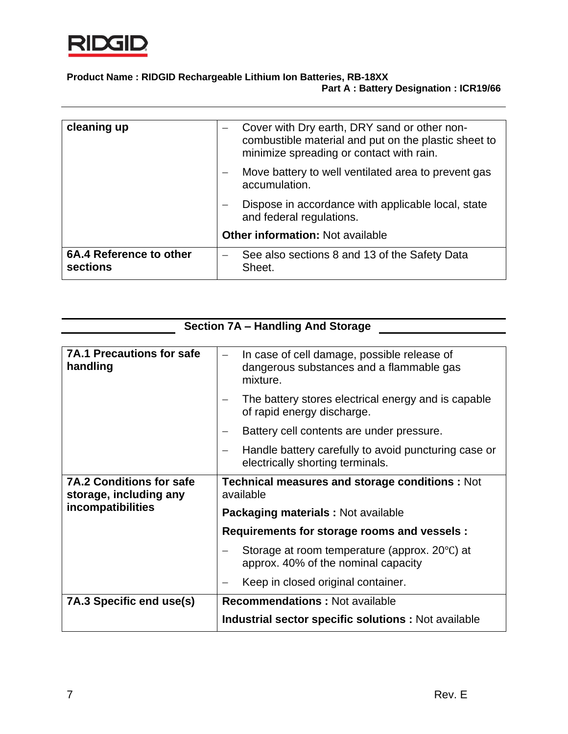

| cleaning up                         | Cover with Dry earth, DRY sand or other non-<br>combustible material and put on the plastic sheet to<br>minimize spreading or contact with rain. |
|-------------------------------------|--------------------------------------------------------------------------------------------------------------------------------------------------|
|                                     | Move battery to well ventilated area to prevent gas<br>accumulation.                                                                             |
|                                     | Dispose in accordance with applicable local, state<br>and federal regulations.                                                                   |
|                                     | <b>Other information: Not available</b>                                                                                                          |
| 6A.4 Reference to other<br>sections | See also sections 8 and 13 of the Safety Data<br>Sheet.                                                                                          |

| Section 7A - Handling And Storage                                              |                                                                                                     |
|--------------------------------------------------------------------------------|-----------------------------------------------------------------------------------------------------|
|                                                                                |                                                                                                     |
| <b>7A.1 Precautions for safe</b><br>handling                                   | In case of cell damage, possible release of<br>dangerous substances and a flammable gas<br>mixture. |
|                                                                                | The battery stores electrical energy and is capable<br>of rapid energy discharge.                   |
|                                                                                | Battery cell contents are under pressure.                                                           |
|                                                                                | Handle battery carefully to avoid puncturing case or<br>electrically shorting terminals.            |
| <b>7A.2 Conditions for safe</b><br>storage, including any<br>incompatibilities | <b>Technical measures and storage conditions: Not</b><br>available                                  |
|                                                                                | Packaging materials : Not available                                                                 |
|                                                                                | Requirements for storage rooms and vessels :                                                        |
|                                                                                | Storage at room temperature (approx. 20°C) at<br>approx. 40% of the nominal capacity                |
|                                                                                | Keep in closed original container.                                                                  |
| 7A.3 Specific end use(s)                                                       | <b>Recommendations: Not available</b>                                                               |
|                                                                                | <b>Industrial sector specific solutions:</b> Not available                                          |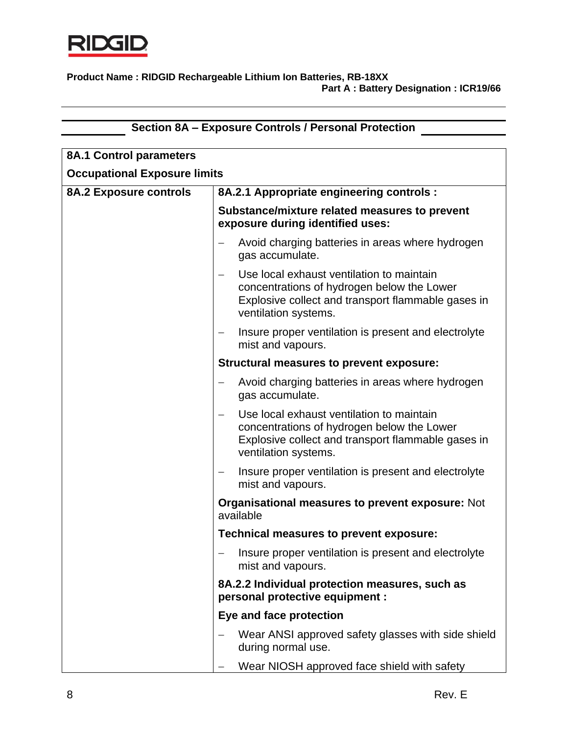

|                                     | Section 8A - Exposure Controls / Personal Protection                                                                                                                  |
|-------------------------------------|-----------------------------------------------------------------------------------------------------------------------------------------------------------------------|
| <b>8A.1 Control parameters</b>      |                                                                                                                                                                       |
| <b>Occupational Exposure limits</b> |                                                                                                                                                                       |
| <b>8A.2 Exposure controls</b>       | 8A.2.1 Appropriate engineering controls :                                                                                                                             |
|                                     |                                                                                                                                                                       |
|                                     | Substance/mixture related measures to prevent<br>exposure during identified uses:                                                                                     |
|                                     | Avoid charging batteries in areas where hydrogen<br>gas accumulate.                                                                                                   |
|                                     | Use local exhaust ventilation to maintain<br>concentrations of hydrogen below the Lower<br>Explosive collect and transport flammable gases in<br>ventilation systems. |
|                                     | Insure proper ventilation is present and electrolyte<br>mist and vapours.                                                                                             |
|                                     | Structural measures to prevent exposure:                                                                                                                              |
|                                     | Avoid charging batteries in areas where hydrogen<br>gas accumulate.                                                                                                   |
|                                     | Use local exhaust ventilation to maintain<br>concentrations of hydrogen below the Lower<br>Explosive collect and transport flammable gases in<br>ventilation systems. |
|                                     | Insure proper ventilation is present and electrolyte<br>$\overline{\phantom{m}}$<br>mist and vapours.                                                                 |
|                                     | <b>Organisational measures to prevent exposure: Not</b><br>available                                                                                                  |
|                                     | <b>Technical measures to prevent exposure:</b>                                                                                                                        |
|                                     | Insure proper ventilation is present and electrolyte<br>mist and vapours.                                                                                             |
|                                     | 8A.2.2 Individual protection measures, such as<br>personal protective equipment :                                                                                     |
|                                     | Eye and face protection                                                                                                                                               |
|                                     | Wear ANSI approved safety glasses with side shield<br>during normal use.                                                                                              |
|                                     | Wear NIOSH approved face shield with safety                                                                                                                           |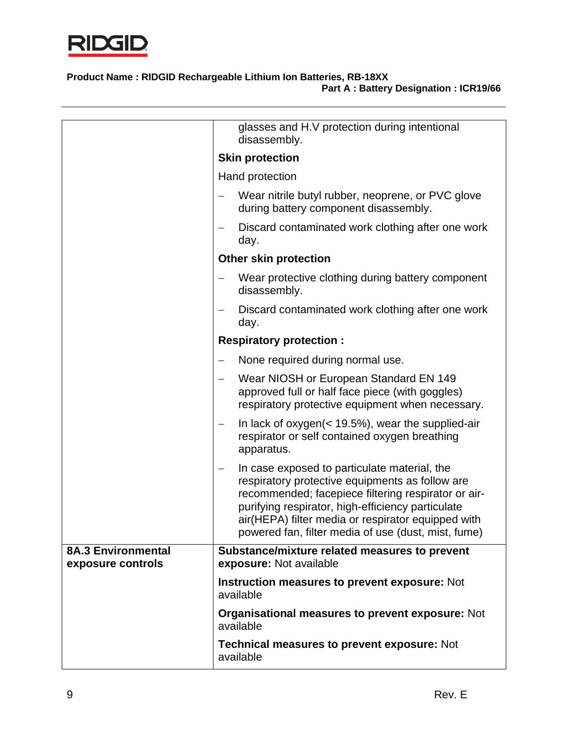

|                                                | glasses and H.V protection during intentional<br>disassembly.                                                                                                                                                                                                                                                            |
|------------------------------------------------|--------------------------------------------------------------------------------------------------------------------------------------------------------------------------------------------------------------------------------------------------------------------------------------------------------------------------|
|                                                | <b>Skin protection</b>                                                                                                                                                                                                                                                                                                   |
|                                                | Hand protection                                                                                                                                                                                                                                                                                                          |
|                                                | Wear nitrile butyl rubber, neoprene, or PVC glove<br>during battery component disassembly.                                                                                                                                                                                                                               |
|                                                | Discard contaminated work clothing after one work<br>day.                                                                                                                                                                                                                                                                |
|                                                | <b>Other skin protection</b>                                                                                                                                                                                                                                                                                             |
|                                                | Wear protective clothing during battery component<br>disassembly.                                                                                                                                                                                                                                                        |
|                                                | Discard contaminated work clothing after one work<br>day.                                                                                                                                                                                                                                                                |
|                                                | <b>Respiratory protection:</b>                                                                                                                                                                                                                                                                                           |
|                                                | None required during normal use.                                                                                                                                                                                                                                                                                         |
|                                                | Wear NIOSH or European Standard EN 149<br>approved full or half face piece (with goggles)<br>respiratory protective equipment when necessary.                                                                                                                                                                            |
|                                                | In lack of oxygen( $<$ 19.5%), wear the supplied-air<br>$\qquad \qquad -$<br>respirator or self contained oxygen breathing<br>apparatus.                                                                                                                                                                                 |
|                                                | In case exposed to particulate material, the<br>respiratory protective equipments as follow are<br>recommended; facepiece filtering respirator or air-<br>purifying respirator, high-efficiency particulate<br>air(HEPA) filter media or respirator equipped with<br>powered fan, filter media of use (dust, mist, fume) |
| <b>8A.3 Environmental</b><br>exposure controls | Substance/mixture related measures to prevent<br>exposure: Not available                                                                                                                                                                                                                                                 |
|                                                | Instruction measures to prevent exposure: Not<br>available                                                                                                                                                                                                                                                               |
|                                                | <b>Organisational measures to prevent exposure: Not</b><br>available                                                                                                                                                                                                                                                     |
|                                                | <b>Technical measures to prevent exposure: Not</b><br>available                                                                                                                                                                                                                                                          |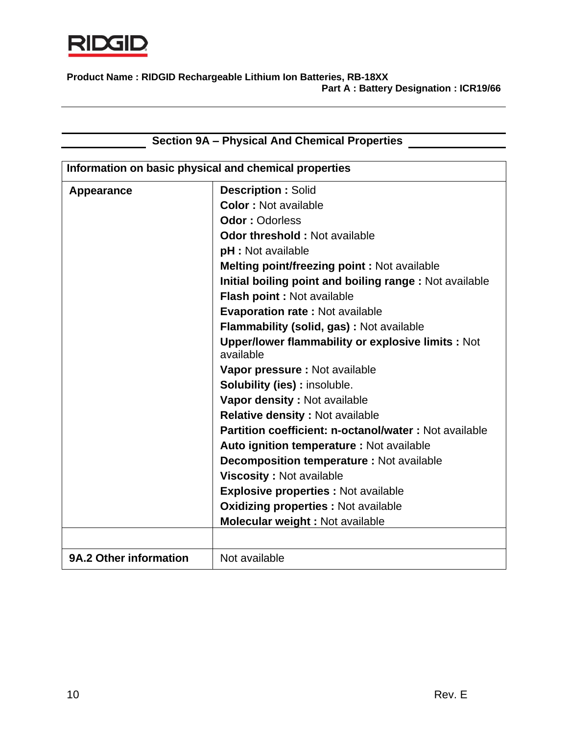

| <b>Section 9A - Physical And Chemical Properties</b>  |                                                                       |
|-------------------------------------------------------|-----------------------------------------------------------------------|
|                                                       |                                                                       |
| Information on basic physical and chemical properties |                                                                       |
| Appearance                                            | <b>Description: Solid</b>                                             |
|                                                       | <b>Color: Not available</b>                                           |
|                                                       | <b>Odor: Odorless</b>                                                 |
|                                                       | <b>Odor threshold: Not available</b>                                  |
|                                                       | <b>pH</b> : Not available                                             |
|                                                       | <b>Melting point/freezing point: Not available</b>                    |
|                                                       | Initial boiling point and boiling range: Not available                |
|                                                       | Flash point : Not available                                           |
|                                                       | Evaporation rate: Not available                                       |
|                                                       | Flammability (solid, gas) : Not available                             |
|                                                       | <b>Upper/lower flammability or explosive limits: Not</b><br>available |
|                                                       | Vapor pressure : Not available                                        |
|                                                       | <b>Solubility (ies): insoluble.</b>                                   |
|                                                       | Vapor density : Not available                                         |
|                                                       | <b>Relative density: Not available</b>                                |
|                                                       | <b>Partition coefficient: n-octanol/water: Not available</b>          |
|                                                       | Auto ignition temperature : Not available                             |
|                                                       | <b>Decomposition temperature: Not available</b>                       |
|                                                       | <b>Viscosity: Not available</b>                                       |
|                                                       | <b>Explosive properties : Not available</b>                           |
|                                                       | <b>Oxidizing properties : Not available</b>                           |
|                                                       | Molecular weight : Not available                                      |
|                                                       |                                                                       |
| 9A.2 Other information                                | Not available                                                         |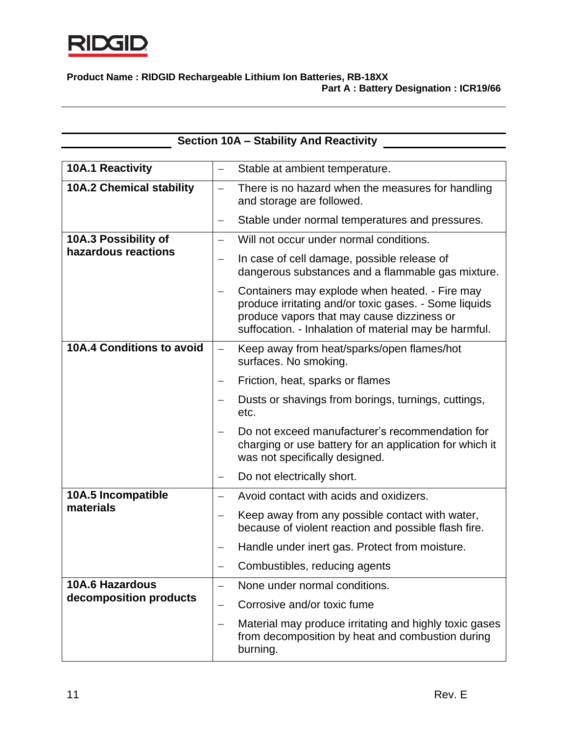

| <b>Section 10A - Stability And Reactivity</b> |                          |                                                                                                                                                                                                                |
|-----------------------------------------------|--------------------------|----------------------------------------------------------------------------------------------------------------------------------------------------------------------------------------------------------------|
| <b>10A.1 Reactivity</b>                       | —                        | Stable at ambient temperature.                                                                                                                                                                                 |
| <b>10A.2 Chemical stability</b>               | $\overline{\phantom{0}}$ | There is no hazard when the measures for handling<br>and storage are followed.                                                                                                                                 |
|                                               | —                        | Stable under normal temperatures and pressures.                                                                                                                                                                |
| 10A.3 Possibility of                          |                          | Will not occur under normal conditions.                                                                                                                                                                        |
| hazardous reactions                           | —                        | In case of cell damage, possible release of<br>dangerous substances and a flammable gas mixture.                                                                                                               |
|                                               |                          | Containers may explode when heated. - Fire may<br>produce irritating and/or toxic gases. - Some liquids<br>produce vapors that may cause dizziness or<br>suffocation. - Inhalation of material may be harmful. |
| <b>10A.4 Conditions to avoid</b>              | $\overline{\phantom{0}}$ | Keep away from heat/sparks/open flames/hot<br>surfaces. No smoking.                                                                                                                                            |
|                                               |                          | Friction, heat, sparks or flames                                                                                                                                                                               |
|                                               |                          | Dusts or shavings from borings, turnings, cuttings,<br>etc.                                                                                                                                                    |
|                                               |                          | Do not exceed manufacturer's recommendation for<br>charging or use battery for an application for which it<br>was not specifically designed.                                                                   |
|                                               |                          | Do not electrically short.                                                                                                                                                                                     |
| 10A.5 Incompatible                            |                          | Avoid contact with acids and oxidizers.                                                                                                                                                                        |
| materials                                     | $\overline{\phantom{0}}$ | Keep away from any possible contact with water,<br>because of violent reaction and possible flash fire.                                                                                                        |
|                                               |                          | Handle under inert gas. Protect from moisture.                                                                                                                                                                 |
|                                               |                          | Combustibles, reducing agents                                                                                                                                                                                  |
| <b>10A.6 Hazardous</b>                        | $\qquad \qquad -$        | None under normal conditions.                                                                                                                                                                                  |
| decomposition products                        |                          | Corrosive and/or toxic fume                                                                                                                                                                                    |
|                                               |                          | Material may produce irritating and highly toxic gases<br>from decomposition by heat and combustion during<br>burning.                                                                                         |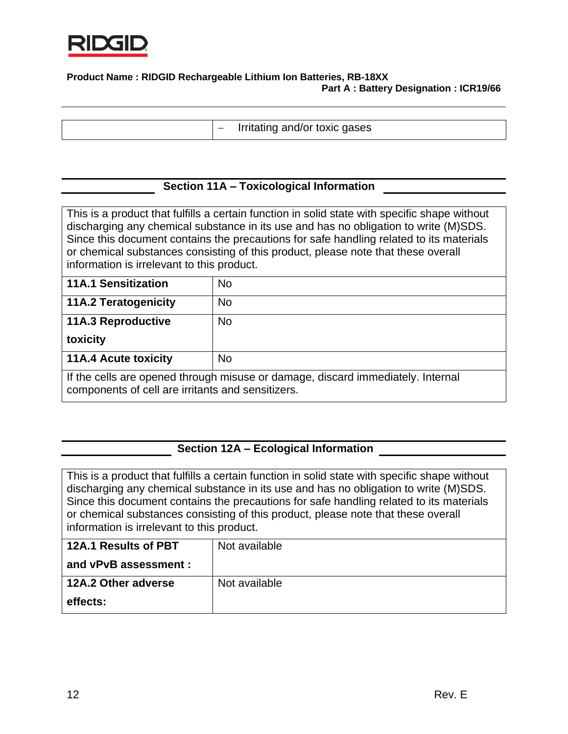

− Irritating and/or toxic gases

## **Section 11A – Toxicological Information**

This is a product that fulfills a certain function in solid state with specific shape without discharging any chemical substance in its use and has no obligation to write (M)SDS. Since this document contains the precautions for safe handling related to its materials or chemical substances consisting of this product, please note that these overall information is irrelevant to this product.

| <b>11A.1 Sensitization</b>                                                                                                           | No        |
|--------------------------------------------------------------------------------------------------------------------------------------|-----------|
| <b>11A.2 Teratogenicity</b>                                                                                                          | <b>No</b> |
| <b>11A.3 Reproductive</b>                                                                                                            | <b>No</b> |
| toxicity                                                                                                                             |           |
| <b>11A.4 Acute toxicity</b>                                                                                                          | <b>No</b> |
| If the cells are opened through misuse or damage, discard immediately. Internal<br>components of cell are irritants and sensitizers. |           |

### **Section 12A – Ecological Information**

This is a product that fulfills a certain function in solid state with specific shape without discharging any chemical substance in its use and has no obligation to write (M)SDS. Since this document contains the precautions for safe handling related to its materials or chemical substances consisting of this product, please note that these overall information is irrelevant to this product.

| 12A.1 Results of PBT  | Not available |
|-----------------------|---------------|
| and vPvB assessment : |               |
| 12A.2 Other adverse   | Not available |
| effects:              |               |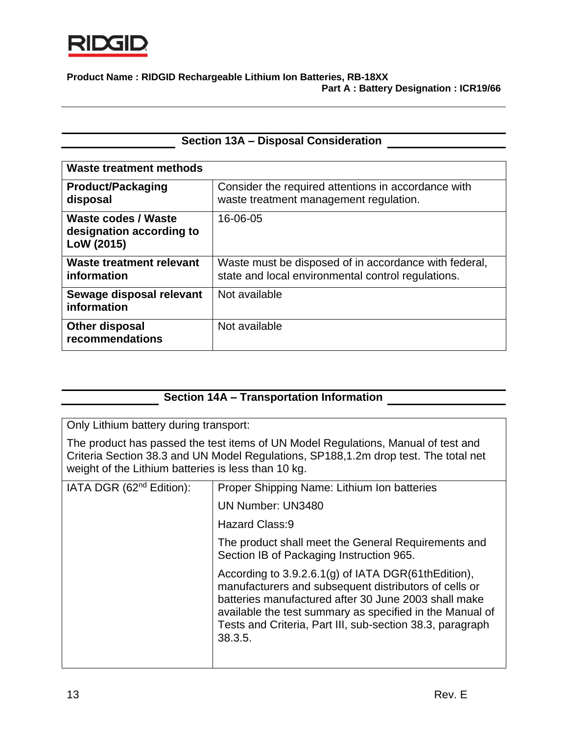

## **Section 13A – Disposal Consideration**

| <b>Waste treatment methods</b>                                       |                                                                                                             |
|----------------------------------------------------------------------|-------------------------------------------------------------------------------------------------------------|
| <b>Product/Packaging</b><br>disposal                                 | Consider the required attentions in accordance with<br>waste treatment management regulation.               |
| <b>Waste codes / Waste</b><br>designation according to<br>LoW (2015) | 16-06-05                                                                                                    |
| Waste treatment relevant<br>information                              | Waste must be disposed of in accordance with federal,<br>state and local environmental control regulations. |
| Sewage disposal relevant<br>information                              | Not available                                                                                               |
| <b>Other disposal</b><br>recommendations                             | Not available                                                                                               |

# **Section 14A – Transportation Information**

Only Lithium battery during transport:

The product has passed the test items of UN Model Regulations, Manual of test and Criteria Section 38.3 and UN Model Regulations, SP188,1.2m drop test. The total net weight of the Lithium batteries is less than 10 kg.

| IATA DGR (62 <sup>nd</sup> Edition): | Proper Shipping Name: Lithium Ion batteries                                                                                                                                                                                                                                                              |
|--------------------------------------|----------------------------------------------------------------------------------------------------------------------------------------------------------------------------------------------------------------------------------------------------------------------------------------------------------|
|                                      | <b>UN Number: UN3480</b>                                                                                                                                                                                                                                                                                 |
|                                      | <b>Hazard Class:9</b>                                                                                                                                                                                                                                                                                    |
|                                      | The product shall meet the General Requirements and<br>Section IB of Packaging Instruction 965.                                                                                                                                                                                                          |
|                                      | According to 3.9.2.6.1(g) of IATA DGR(61thEdition),<br>manufacturers and subsequent distributors of cells or<br>batteries manufactured after 30 June 2003 shall make<br>available the test summary as specified in the Manual of<br>Tests and Criteria, Part III, sub-section 38.3, paragraph<br>38.3.5. |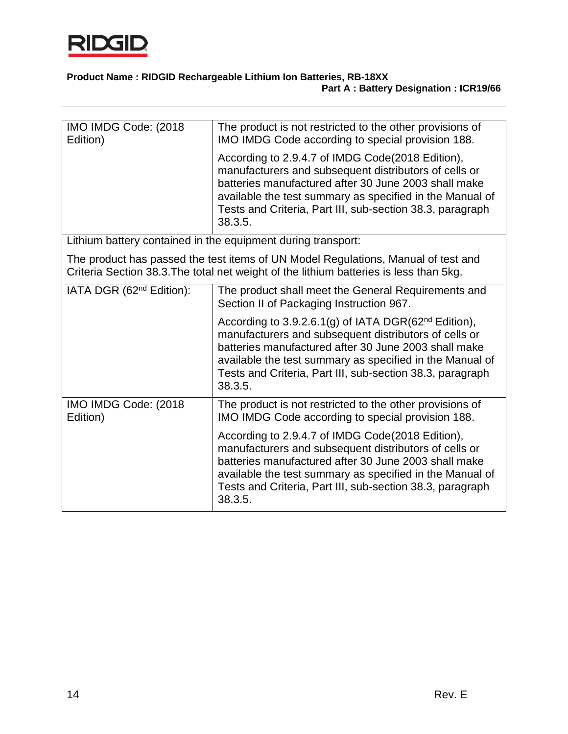

| IMO IMDG Code: (2018)<br>Edition)                                                                                                                                           | The product is not restricted to the other provisions of<br>IMO IMDG Code according to special provision 188.                                                                                                                                                                                                         |  |
|-----------------------------------------------------------------------------------------------------------------------------------------------------------------------------|-----------------------------------------------------------------------------------------------------------------------------------------------------------------------------------------------------------------------------------------------------------------------------------------------------------------------|--|
|                                                                                                                                                                             | According to 2.9.4.7 of IMDG Code(2018 Edition),<br>manufacturers and subsequent distributors of cells or<br>batteries manufactured after 30 June 2003 shall make<br>available the test summary as specified in the Manual of<br>Tests and Criteria, Part III, sub-section 38.3, paragraph<br>38.3.5.                 |  |
|                                                                                                                                                                             | Lithium battery contained in the equipment during transport:                                                                                                                                                                                                                                                          |  |
| The product has passed the test items of UN Model Regulations, Manual of test and<br>Criteria Section 38.3. The total net weight of the lithium batteries is less than 5kg. |                                                                                                                                                                                                                                                                                                                       |  |
| IATA DGR (62 <sup>nd</sup> Edition):                                                                                                                                        | The product shall meet the General Requirements and<br>Section II of Packaging Instruction 967.                                                                                                                                                                                                                       |  |
|                                                                                                                                                                             | According to 3.9.2.6.1(g) of IATA DGR(62 <sup>nd</sup> Edition),<br>manufacturers and subsequent distributors of cells or<br>batteries manufactured after 30 June 2003 shall make<br>available the test summary as specified in the Manual of<br>Tests and Criteria, Part III, sub-section 38.3, paragraph<br>38.3.5. |  |
| IMO IMDG Code: (2018)<br>Edition)                                                                                                                                           | The product is not restricted to the other provisions of<br>IMO IMDG Code according to special provision 188.                                                                                                                                                                                                         |  |
|                                                                                                                                                                             | According to 2.9.4.7 of IMDG Code(2018 Edition),<br>manufacturers and subsequent distributors of cells or<br>batteries manufactured after 30 June 2003 shall make<br>available the test summary as specified in the Manual of<br>Tests and Criteria, Part III, sub-section 38.3, paragraph<br>38.3.5.                 |  |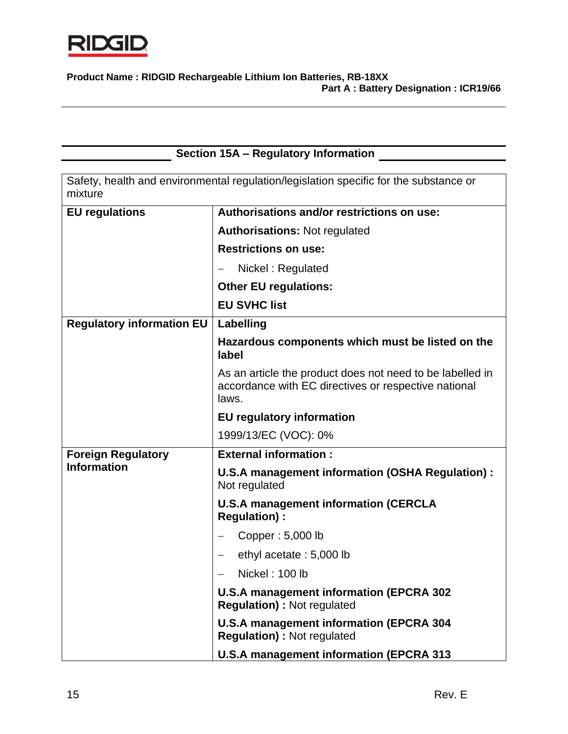

|                                  | Section 15A - Regulatory Information                                                                                       |
|----------------------------------|----------------------------------------------------------------------------------------------------------------------------|
| mixture                          | Safety, health and environmental regulation/legislation specific for the substance or                                      |
| <b>EU</b> regulations            | Authorisations and/or restrictions on use:                                                                                 |
|                                  | <b>Authorisations: Not regulated</b>                                                                                       |
|                                  | <b>Restrictions on use:</b>                                                                                                |
|                                  | Nickel: Regulated                                                                                                          |
|                                  | <b>Other EU regulations:</b>                                                                                               |
|                                  | <b>EU SVHC list</b>                                                                                                        |
| <b>Regulatory information EU</b> | Labelling                                                                                                                  |
|                                  | Hazardous components which must be listed on the<br>label                                                                  |
|                                  | As an article the product does not need to be labelled in<br>accordance with EC directives or respective national<br>laws. |
|                                  | <b>EU</b> regulatory information                                                                                           |
|                                  | 1999/13/EC (VOC): 0%                                                                                                       |
| <b>Foreign Regulatory</b>        | <b>External information:</b>                                                                                               |
| <b>Information</b>               | U.S.A management information (OSHA Regulation) :<br>Not regulated                                                          |
|                                  | <b>U.S.A management information (CERCLA</b><br><b>Regulation):</b>                                                         |
|                                  | Copper: 5,000 lb                                                                                                           |
|                                  | ethyl acetate: 5,000 lb                                                                                                    |
|                                  | Nickel: 100 lb                                                                                                             |
|                                  | U.S.A management information (EPCRA 302<br><b>Regulation): Not regulated</b>                                               |
|                                  | <b>U.S.A management information (EPCRA 304</b><br><b>Regulation): Not regulated</b>                                        |
|                                  | <b>U.S.A management information (EPCRA 313</b>                                                                             |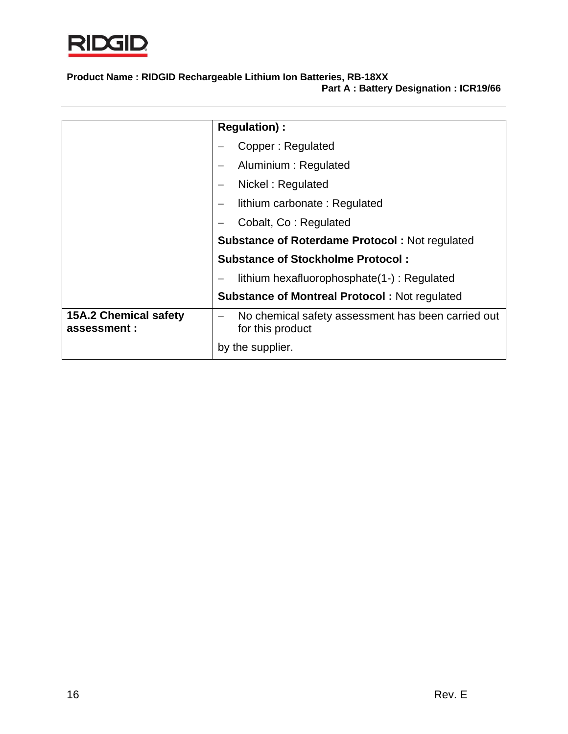

|                                              | <b>Regulation):</b>                                                    |  |  |
|----------------------------------------------|------------------------------------------------------------------------|--|--|
|                                              |                                                                        |  |  |
|                                              | Copper: Regulated                                                      |  |  |
|                                              | Aluminium: Regulated                                                   |  |  |
|                                              | Nickel: Regulated                                                      |  |  |
|                                              | lithium carbonate: Regulated                                           |  |  |
|                                              | Cobalt, Co: Regulated                                                  |  |  |
|                                              | <b>Substance of Roterdame Protocol: Not regulated</b>                  |  |  |
|                                              | <b>Substance of Stockholme Protocol:</b>                               |  |  |
|                                              | lithium hexafluorophosphate(1-): Regulated                             |  |  |
|                                              | <b>Substance of Montreal Protocol: Not regulated</b>                   |  |  |
| <b>15A.2 Chemical safety</b><br>assessment : | No chemical safety assessment has been carried out<br>for this product |  |  |
|                                              | by the supplier.                                                       |  |  |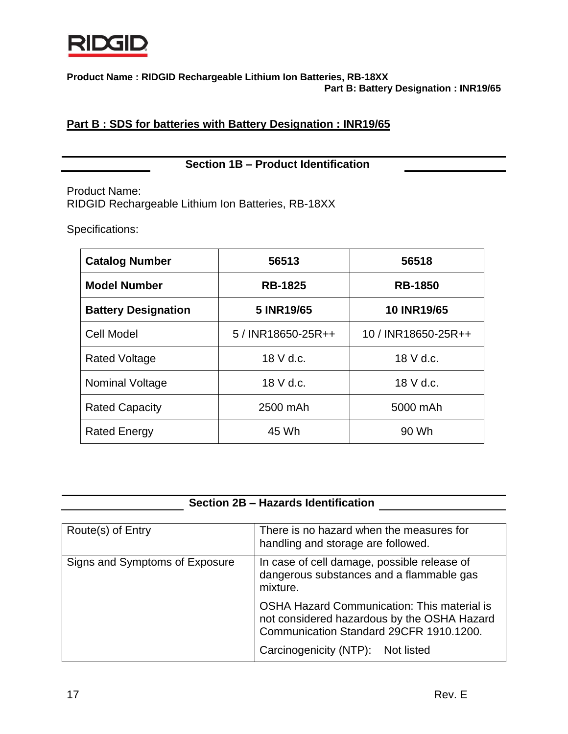

# **Part B : SDS for batteries with Battery Designation : INR19/65**

**Section 1B – Product Identification**

Product Name: RIDGID Rechargeable Lithium Ion Batteries, RB-18XX

Specifications:

| <b>Catalog Number</b>      | 56513              | 56518               |  |
|----------------------------|--------------------|---------------------|--|
| <b>Model Number</b>        | <b>RB-1825</b>     | <b>RB-1850</b>      |  |
| <b>Battery Designation</b> | 5 INR19/65         | <b>10 INR19/65</b>  |  |
| <b>Cell Model</b>          | 5 / INR18650-25R++ | 10 / INR18650-25R++ |  |
| <b>Rated Voltage</b>       | 18 V d.c.          | $18$ V d.c.         |  |
| Nominal Voltage            | 18 V d.c.          | 18 V d.c.           |  |
| <b>Rated Capacity</b>      | 2500 mAh           | 5000 mAh            |  |
| <b>Rated Energy</b>        | 45 Wh              | 90 Wh               |  |

|  |  | Section 2B – Hazards Identification |
|--|--|-------------------------------------|
|--|--|-------------------------------------|

| Route(s) of Entry              | There is no hazard when the measures for<br>handling and storage are followed.                                                                                             |
|--------------------------------|----------------------------------------------------------------------------------------------------------------------------------------------------------------------------|
| Signs and Symptoms of Exposure | In case of cell damage, possible release of<br>dangerous substances and a flammable gas<br>mixture.                                                                        |
|                                | OSHA Hazard Communication: This material is<br>not considered hazardous by the OSHA Hazard<br>Communication Standard 29CFR 1910.1200.<br>Carcinogenicity (NTP): Not listed |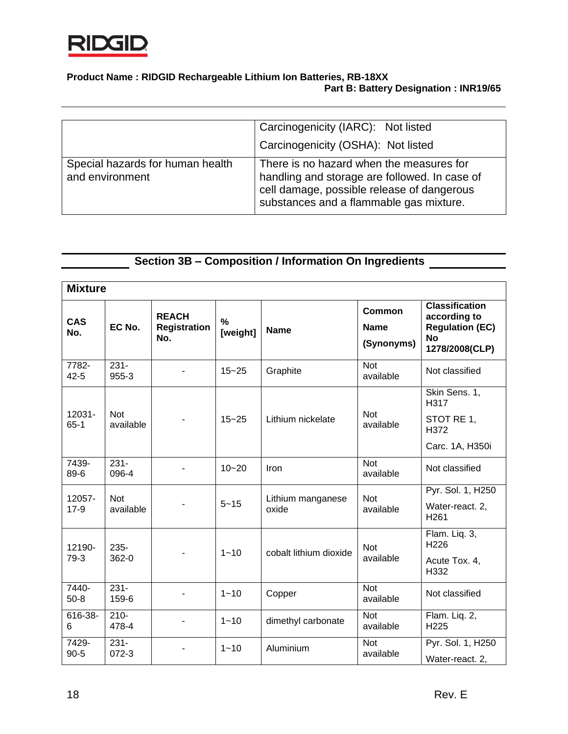

|                                                     | Carcinogenicity (IARC): Not listed                                                                                                                                                 |
|-----------------------------------------------------|------------------------------------------------------------------------------------------------------------------------------------------------------------------------------------|
|                                                     | Carcinogenicity (OSHA): Not listed                                                                                                                                                 |
| Special hazards for human health<br>and environment | There is no hazard when the measures for<br>handling and storage are followed. In case of<br>cell damage, possible release of dangerous<br>substances and a flammable gas mixture. |

# **Section 3B – Composition / Information On Ingredients**

| <b>Mixture</b>    |                         |                                            |                  |                            |                                            |                                                                                                |
|-------------------|-------------------------|--------------------------------------------|------------------|----------------------------|--------------------------------------------|------------------------------------------------------------------------------------------------|
| <b>CAS</b><br>No. | EC No.                  | <b>REACH</b><br><b>Registration</b><br>No. | $\%$<br>[weight] | <b>Name</b>                | <b>Common</b><br><b>Name</b><br>(Synonyms) | <b>Classification</b><br>according to<br><b>Regulation (EC)</b><br><b>No</b><br>1278/2008(CLP) |
| 7782-<br>$42 - 5$ | $231 -$<br>955-3        |                                            | $15 - 25$        | Graphite                   | <b>Not</b><br>available                    | Not classified                                                                                 |
| 12031-<br>$65-1$  | <b>Not</b><br>available |                                            | $15 - 25$        | Lithium nickelate          | <b>Not</b><br>available                    | Skin Sens. 1,<br>H317<br>STOT RE 1,<br>H372<br>Carc. 1A, H350i                                 |
| 7439-<br>89-6     | $231 -$<br>096-4        |                                            | $10 - 20$        | Iron                       | <b>Not</b><br>available                    | Not classified                                                                                 |
| 12057-<br>$17-9$  | <b>Not</b><br>available |                                            | $5 - 15$         | Lithium manganese<br>oxide | <b>Not</b><br>available                    | Pyr. Sol. 1, H250<br>Water-react. 2,<br>H <sub>261</sub>                                       |
| 12190-<br>79-3    | $235 -$<br>362-0        |                                            | $1 - 10$         | cobalt lithium dioxide     | <b>Not</b><br>available                    | Flam. Liq. 3,<br>H226<br>Acute Tox. 4,<br>H332                                                 |
| 7440-<br>$50-8$   | $231 -$<br>159-6        |                                            | $1 - 10$         | Copper                     | <b>Not</b><br>available                    | Not classified                                                                                 |
| 616-38-<br>6      | $210 -$<br>478-4        |                                            | $1 - 10$         | dimethyl carbonate         | <b>Not</b><br>available                    | Flam. Liq. 2,<br>H225                                                                          |
| 7429-<br>$90 - 5$ | $231 -$<br>$072 - 3$    |                                            | $1 - 10$         | Aluminium                  | <b>Not</b><br>available                    | Pyr. Sol. 1, H250<br>Water-react. 2,                                                           |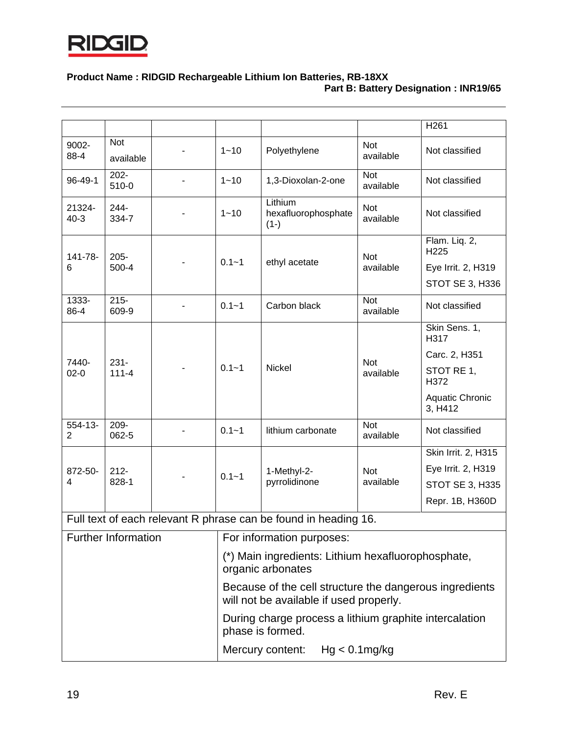

|                    |                            |                                                                                                    |                           |                                                                 |                         | H <sub>261</sub>                  |  |  |
|--------------------|----------------------------|----------------------------------------------------------------------------------------------------|---------------------------|-----------------------------------------------------------------|-------------------------|-----------------------------------|--|--|
| 9002-<br>88-4      | Not<br>available           |                                                                                                    | $1 - 10$                  | Polyethylene                                                    | <b>Not</b><br>available | Not classified                    |  |  |
| 96-49-1            | $202 -$<br>510-0           |                                                                                                    | $1 - 10$                  | 1,3-Dioxolan-2-one                                              | <b>Not</b><br>available | Not classified                    |  |  |
| 21324-<br>$40 - 3$ | $244 -$<br>334-7           |                                                                                                    | $1 - 10$                  | Lithium<br>hexafluorophosphate<br>$(1-)$                        | <b>Not</b><br>available | Not classified                    |  |  |
|                    |                            |                                                                                                    |                           |                                                                 |                         | Flam. Liq. 2,<br>H225             |  |  |
| 141-78-<br>6       | $205 -$<br>500-4           |                                                                                                    | $0.1 - 1$                 | ethyl acetate                                                   | <b>Not</b><br>available | Eye Irrit. 2, H319                |  |  |
|                    |                            |                                                                                                    |                           |                                                                 |                         | STOT SE 3, H336                   |  |  |
| 1333-<br>86-4      | $215 -$<br>609-9           |                                                                                                    | $0.1 - 1$                 | Carbon black                                                    | <b>Not</b><br>available | Not classified                    |  |  |
|                    |                            |                                                                                                    |                           |                                                                 |                         | Skin Sens. 1,<br>H317             |  |  |
|                    |                            |                                                                                                    |                           |                                                                 |                         | Carc. 2, H351                     |  |  |
| 7440-<br>$02 - 0$  | $231 -$<br>$111 - 4$       |                                                                                                    | $0.1 - 1$                 | <b>Nickel</b>                                                   | <b>Not</b><br>available | STOT RE 1,<br>H372                |  |  |
|                    |                            |                                                                                                    |                           |                                                                 |                         | <b>Aquatic Chronic</b><br>3, H412 |  |  |
| $554 - 13 -$<br>2  | $209 -$<br>062-5           |                                                                                                    | $0.1 - 1$                 | lithium carbonate                                               | <b>Not</b><br>available | Not classified                    |  |  |
|                    |                            |                                                                                                    |                           |                                                                 |                         | Skin Irrit. 2, H315               |  |  |
| 872-50-            | $212 -$                    |                                                                                                    | $0.1 - 1$                 | 1-Methyl-2-                                                     | <b>Not</b>              | Eye Irrit. 2, H319                |  |  |
| 4                  | 828-1                      |                                                                                                    |                           | pyrrolidinone                                                   | available               | <b>STOT SE 3, H335</b>            |  |  |
|                    |                            |                                                                                                    |                           |                                                                 |                         | Repr. 1B, H360D                   |  |  |
|                    |                            |                                                                                                    |                           | Full text of each relevant R phrase can be found in heading 16. |                         |                                   |  |  |
|                    | <b>Further Information</b> |                                                                                                    | For information purposes: |                                                                 |                         |                                   |  |  |
|                    |                            | (*) Main ingredients: Lithium hexafluorophosphate,<br>organic arbonates                            |                           |                                                                 |                         |                                   |  |  |
|                    |                            | Because of the cell structure the dangerous ingredients<br>will not be available if used properly. |                           |                                                                 |                         |                                   |  |  |
|                    |                            | During charge process a lithium graphite intercalation<br>phase is formed.                         |                           |                                                                 |                         |                                   |  |  |
|                    |                            |                                                                                                    |                           | Mercury content:                                                | $Hg < 0.1$ mg/kg        |                                   |  |  |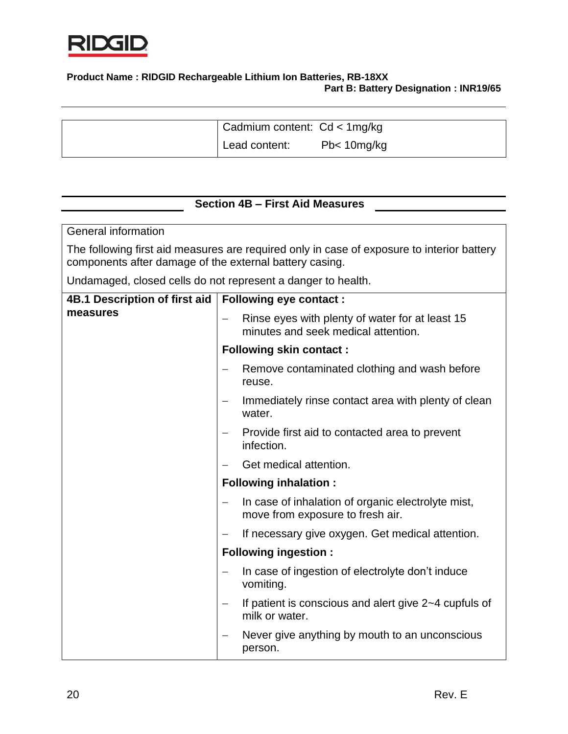

| Cadmium content: Cd < 1mg/kg |                       |
|------------------------------|-----------------------|
| Lead content:                | Pb <sub>10mg/kg</sub> |

# **Section 4B – First Aid Measures**

General information

The following first aid measures are required only in case of exposure to interior battery components after damage of the external battery casing.

Undamaged, closed cells do not represent a danger to health.

| 4B.1 Description of first aid | <b>Following eye contact:</b>                                                          |
|-------------------------------|----------------------------------------------------------------------------------------|
| measures                      | Rinse eyes with plenty of water for at least 15<br>minutes and seek medical attention. |
|                               | <b>Following skin contact:</b>                                                         |
|                               | Remove contaminated clothing and wash before<br>reuse.                                 |
|                               | Immediately rinse contact area with plenty of clean<br>water.                          |
|                               | Provide first aid to contacted area to prevent<br>infection.                           |
|                               | Get medical attention.                                                                 |
|                               | <b>Following inhalation:</b>                                                           |
|                               | In case of inhalation of organic electrolyte mist,<br>move from exposure to fresh air. |
|                               | If necessary give oxygen. Get medical attention.                                       |
|                               | <b>Following ingestion:</b>                                                            |
|                               | In case of ingestion of electrolyte don't induce<br>vomiting.                          |
|                               | If patient is conscious and alert give 2~4 cupfuls of<br>milk or water.                |
|                               | Never give anything by mouth to an unconscious<br>person.                              |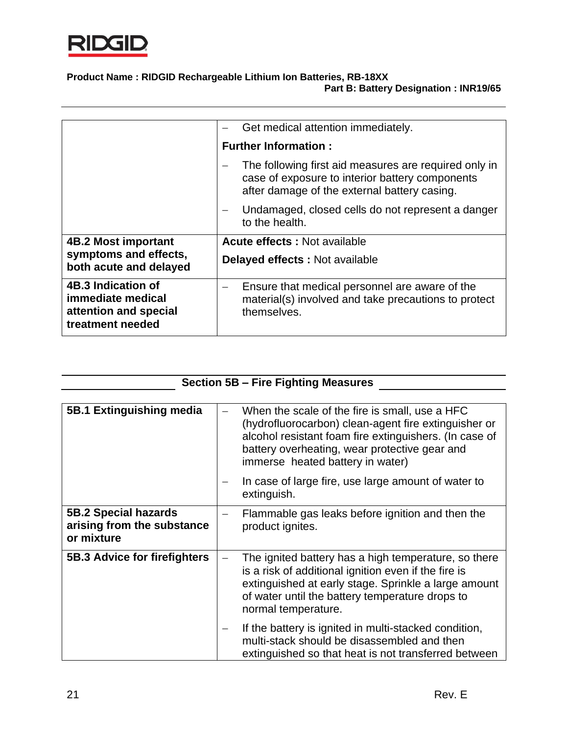

|                                                                                      | Get medical attention immediately.                                                                                                                       |
|--------------------------------------------------------------------------------------|----------------------------------------------------------------------------------------------------------------------------------------------------------|
|                                                                                      | <b>Further Information:</b>                                                                                                                              |
|                                                                                      | The following first aid measures are required only in<br>case of exposure to interior battery components<br>after damage of the external battery casing. |
|                                                                                      | Undamaged, closed cells do not represent a danger<br>to the health.                                                                                      |
| <b>4B.2 Most important</b>                                                           | <b>Acute effects: Not available</b>                                                                                                                      |
| symptoms and effects,<br>both acute and delayed                                      | <b>Delayed effects: Not available</b>                                                                                                                    |
| 4B.3 Indication of<br>immediate medical<br>attention and special<br>treatment needed | Ensure that medical personnel are aware of the<br>—<br>material(s) involved and take precautions to protect<br>themselves.                               |

| <b>Section 5B - Fire Fighting Measures</b> |
|--------------------------------------------|
|--------------------------------------------|

 $\overline{\phantom{a}}$ 

| 5B.1 Extinguishing media                                         | When the scale of the fire is small, use a HFC<br>(hydrofluorocarbon) clean-agent fire extinguisher or<br>alcohol resistant foam fire extinguishers. (In case of<br>battery overheating, wear protective gear and<br>immerse heated battery in water) |
|------------------------------------------------------------------|-------------------------------------------------------------------------------------------------------------------------------------------------------------------------------------------------------------------------------------------------------|
|                                                                  | In case of large fire, use large amount of water to<br>extinguish.                                                                                                                                                                                    |
| 5B.2 Special hazards<br>arising from the substance<br>or mixture | Flammable gas leaks before ignition and then the<br>product ignites.                                                                                                                                                                                  |
| 5B.3 Advice for firefighters                                     | The ignited battery has a high temperature, so there<br>is a risk of additional ignition even if the fire is<br>extinguished at early stage. Sprinkle a large amount<br>of water until the battery temperature drops to<br>normal temperature.        |
|                                                                  | If the battery is ignited in multi-stacked condition,<br>multi-stack should be disassembled and then<br>extinguished so that heat is not transferred between                                                                                          |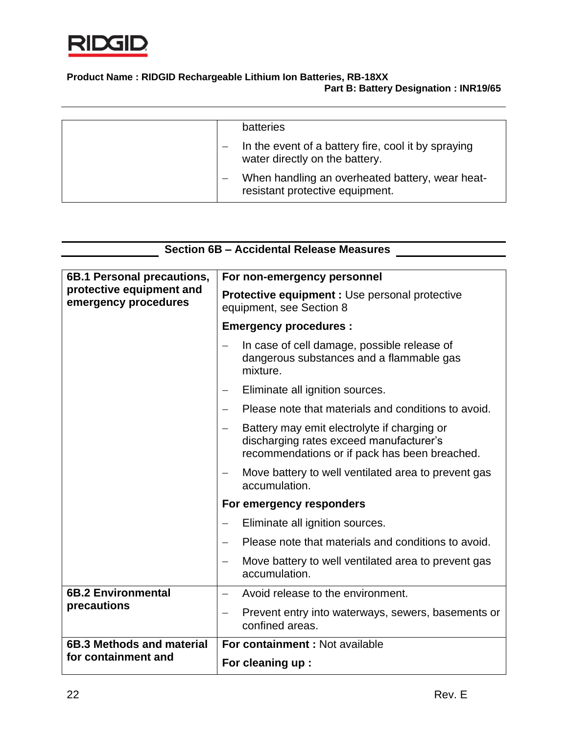

| batteries                                                                             |
|---------------------------------------------------------------------------------------|
| In the event of a battery fire, cool it by spraying<br>water directly on the battery. |
| When handling an overheated battery, wear heat-<br>resistant protective equipment.    |

| <b>Section 6B - Accidental Release Measures</b>  |                                                                                                                                         |  |  |  |
|--------------------------------------------------|-----------------------------------------------------------------------------------------------------------------------------------------|--|--|--|
| 6B.1 Personal precautions,                       | For non-emergency personnel                                                                                                             |  |  |  |
| protective equipment and<br>emergency procedures | <b>Protective equipment: Use personal protective</b><br>equipment, see Section 8                                                        |  |  |  |
|                                                  | <b>Emergency procedures:</b>                                                                                                            |  |  |  |
|                                                  | In case of cell damage, possible release of<br>dangerous substances and a flammable gas<br>mixture.                                     |  |  |  |
|                                                  | Eliminate all ignition sources.<br>—                                                                                                    |  |  |  |
|                                                  | Please note that materials and conditions to avoid.<br>$\overline{\phantom{0}}$                                                         |  |  |  |
|                                                  | Battery may emit electrolyte if charging or<br>discharging rates exceed manufacturer's<br>recommendations or if pack has been breached. |  |  |  |
|                                                  | Move battery to well ventilated area to prevent gas<br>accumulation.                                                                    |  |  |  |
|                                                  | For emergency responders                                                                                                                |  |  |  |
|                                                  | Eliminate all ignition sources.                                                                                                         |  |  |  |
|                                                  | Please note that materials and conditions to avoid.                                                                                     |  |  |  |
|                                                  | Move battery to well ventilated area to prevent gas<br>accumulation.                                                                    |  |  |  |
| <b>6B.2 Environmental</b>                        | Avoid release to the environment.<br>$\overline{\phantom{0}}$                                                                           |  |  |  |
| precautions                                      | Prevent entry into waterways, sewers, basements or<br>—<br>confined areas.                                                              |  |  |  |
| 6B.3 Methods and material                        | For containment: Not available                                                                                                          |  |  |  |
| for containment and                              | Fereise de la contrata de la contrata del contrata del contrata del contrata del contrata de la contrata del c                          |  |  |  |

**For cleaning up :**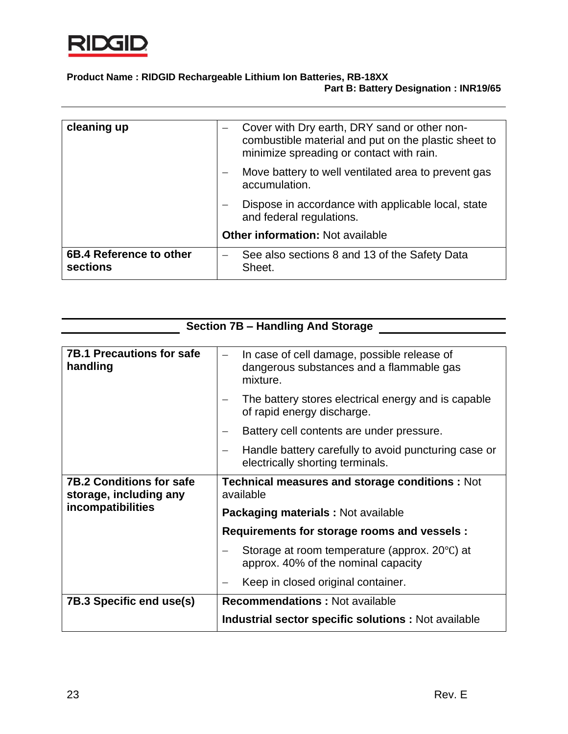

| cleaning up                         | Cover with Dry earth, DRY sand or other non-<br>$\qquad \qquad -$<br>combustible material and put on the plastic sheet to<br>minimize spreading or contact with rain. |
|-------------------------------------|-----------------------------------------------------------------------------------------------------------------------------------------------------------------------|
|                                     | Move battery to well ventilated area to prevent gas<br>accumulation.                                                                                                  |
|                                     | Dispose in accordance with applicable local, state<br>$\qquad \qquad -$<br>and federal regulations.                                                                   |
|                                     | <b>Other information: Not available</b>                                                                                                                               |
| 6B.4 Reference to other<br>sections | See also sections 8 and 13 of the Safety Data<br>$\qquad \qquad \longleftarrow$<br>Sheet.                                                                             |

| <b>Section 7B - Handling And Storage</b>                                       |                                                                                                     |  |
|--------------------------------------------------------------------------------|-----------------------------------------------------------------------------------------------------|--|
|                                                                                |                                                                                                     |  |
| <b>7B.1 Precautions for safe</b><br>handling                                   | In case of cell damage, possible release of<br>dangerous substances and a flammable gas<br>mixture. |  |
|                                                                                | The battery stores electrical energy and is capable<br>of rapid energy discharge.                   |  |
|                                                                                | Battery cell contents are under pressure.                                                           |  |
|                                                                                | Handle battery carefully to avoid puncturing case or<br>electrically shorting terminals.            |  |
| <b>7B.2 Conditions for safe</b><br>storage, including any<br>incompatibilities | <b>Technical measures and storage conditions: Not</b><br>available                                  |  |
|                                                                                | <b>Packaging materials: Not available</b>                                                           |  |
|                                                                                | Requirements for storage rooms and vessels :                                                        |  |
|                                                                                | Storage at room temperature (approx. 20°C) at<br>approx. 40% of the nominal capacity                |  |
|                                                                                | Keep in closed original container.                                                                  |  |
| 7B.3 Specific end use(s)                                                       | <b>Recommendations: Not available</b>                                                               |  |
|                                                                                | Industrial sector specific solutions : Not available                                                |  |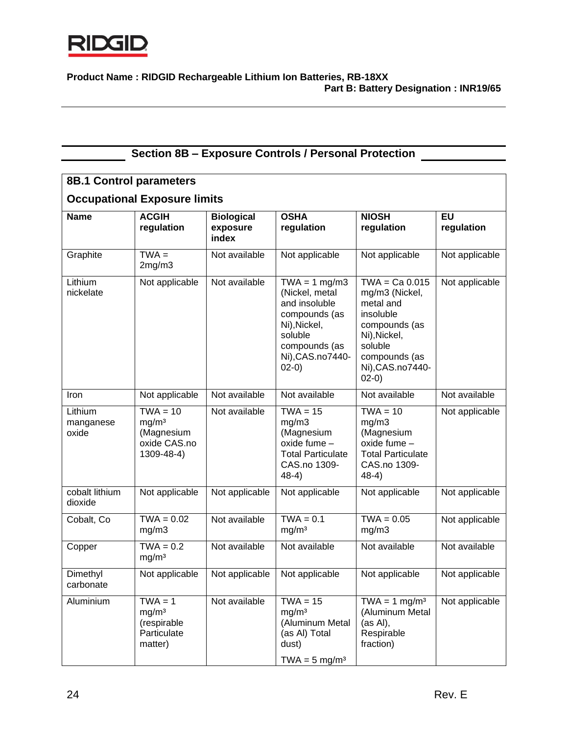

| <b>Section 8B - Exposure Controls / Personal Protection</b> |                                                                             |                                        |                                                                                                                                                  |                                                                                                                                                          |                  |
|-------------------------------------------------------------|-----------------------------------------------------------------------------|----------------------------------------|--------------------------------------------------------------------------------------------------------------------------------------------------|----------------------------------------------------------------------------------------------------------------------------------------------------------|------------------|
| <b>8B.1 Control parameters</b>                              |                                                                             |                                        |                                                                                                                                                  |                                                                                                                                                          |                  |
|                                                             | <b>Occupational Exposure limits</b>                                         |                                        |                                                                                                                                                  |                                                                                                                                                          |                  |
| <b>Name</b>                                                 | <b>ACGIH</b><br>regulation                                                  | <b>Biological</b><br>exposure<br>index | <b>OSHA</b><br>regulation                                                                                                                        | <b>NIOSH</b><br>regulation                                                                                                                               | EU<br>regulation |
| Graphite                                                    | $TWA =$<br>2mg/m3                                                           | Not available                          | Not applicable                                                                                                                                   | Not applicable                                                                                                                                           | Not applicable   |
| Lithium<br>nickelate                                        | Not applicable                                                              | Not available                          | $TWA = 1 mg/m3$<br>(Nickel, metal<br>and insoluble<br>compounds (as<br>Ni), Nickel,<br>soluble<br>compounds (as<br>Ni), CAS. no 7440-<br>$02-0)$ | $TWA = Ca 0.015$<br>mg/m3 (Nickel,<br>metal and<br>insoluble<br>compounds (as<br>Ni), Nickel,<br>soluble<br>compounds (as<br>Ni), CAS.no7440-<br>$02-0)$ | Not applicable   |
| Iron                                                        | Not applicable                                                              | Not available                          | Not available                                                                                                                                    | Not available                                                                                                                                            | Not available    |
| Lithium<br>manganese<br>oxide                               | $TWA = 10$<br>mg/m <sup>3</sup><br>(Magnesium<br>oxide CAS.no<br>1309-48-4) | Not available                          | $TWA = 15$<br>mg/m3<br>(Magnesium<br>oxide fume -<br><b>Total Particulate</b><br>CAS.no 1309-<br>$48-4)$                                         | $TWA = 10$<br>mg/m3<br>(Magnesium<br>oxide fume -<br><b>Total Particulate</b><br>CAS.no 1309-<br>$48-4)$                                                 | Not applicable   |
| cobalt lithium<br>dioxide                                   | Not applicable                                                              | Not applicable                         | Not applicable                                                                                                                                   | Not applicable                                                                                                                                           | Not applicable   |
| Cobalt, Co                                                  | $TWA = 0.02$<br>mg/m3                                                       | Not available                          | $TWA = 0.1$<br>mg/m <sup>3</sup>                                                                                                                 | $TWA = 0.05$<br>mg/m3                                                                                                                                    | Not applicable   |
| Copper                                                      | $TWA = 0.2$<br>mg/m <sup>3</sup>                                            | Not available                          | Not available                                                                                                                                    | Not available                                                                                                                                            | Not available    |
| Dimethyl<br>carbonate                                       | Not applicable                                                              | Not applicable                         | Not applicable                                                                                                                                   | Not applicable                                                                                                                                           | Not applicable   |
| Aluminium                                                   | $TWA = 1$<br>mg/m <sup>3</sup><br>(respirable<br>Particulate<br>matter)     | Not available                          | $TWA = 15$<br>mg/m <sup>3</sup><br>(Aluminum Metal<br>(as Al) Total<br>dust)<br>TWA = $5 \text{ mg/m}^3$                                         | $TWA = 1 mg/m3$<br>(Aluminum Metal<br>(as Al),<br>Respirable<br>fraction)                                                                                | Not applicable   |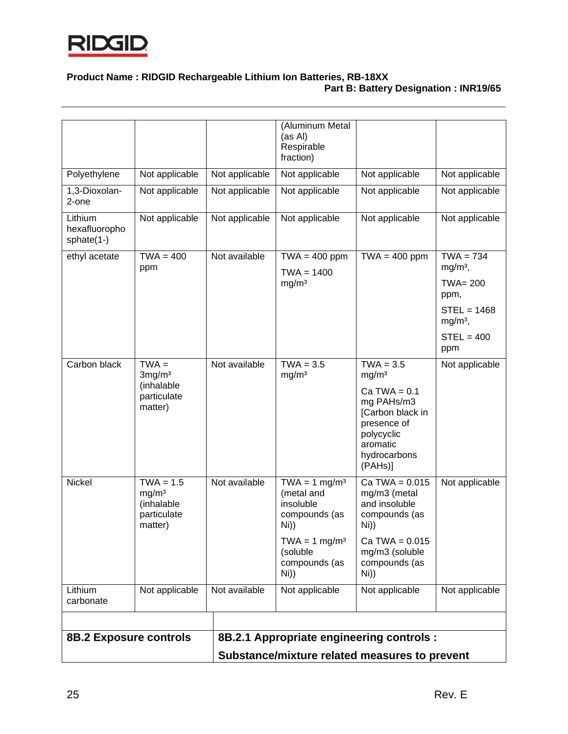

| Lithium<br>carbonate<br><b>8B.2 Exposure controls</b>      | Not applicable                                                            | Not available                   | Not applicable                                                                                           | Not applicable<br>8B.2.1 Appropriate engineering controls :                                                                                                   | Not applicable                                                                     |
|------------------------------------------------------------|---------------------------------------------------------------------------|---------------------------------|----------------------------------------------------------------------------------------------------------|---------------------------------------------------------------------------------------------------------------------------------------------------------------|------------------------------------------------------------------------------------|
|                                                            | mg/m <sup>3</sup><br>(inhalable<br>particulate<br>matter)                 |                                 | (metal and<br>insoluble<br>compounds (as<br>Ni))<br>$TWA = 1 mg/m3$<br>(soluble<br>compounds (as<br>Ni)) | mg/m3 (metal<br>and insoluble<br>compounds (as<br>Ni))<br>$Ca TWA = 0.015$<br>mg/m3 (soluble<br>compounds (as<br>Ni))                                         |                                                                                    |
| Carbon black<br><b>Nickel</b>                              | 3mg/m <sup>3</sup><br>(inhalable<br>particulate<br>matter)<br>$TWA = 1.5$ | Not available<br>Not available  | mg/m <sup>3</sup><br>$\overline{\text{TWA}} = 1 \text{ mg/m}^3$                                          | mg/m <sup>3</sup><br>$Ca TWA = 0.1$<br>mg PAHs/m3<br>[Carbon black in<br>presence of<br>polycyclic<br>aromatic<br>hydrocarbons<br>(PAHs)]<br>$Ca TWA = 0.015$ | Not applicable<br>Not applicable                                                   |
|                                                            | ppm<br>$TWA =$                                                            |                                 | $TWA = 1400$<br>mg/m <sup>3</sup><br>$TWA = 3.5$                                                         | $TWA = 3.5$                                                                                                                                                   | $mg/m3$ ,<br>TWA= 200<br>ppm,<br>$STEL = 1468$<br>$mg/m3$ ,<br>$STEL = 400$<br>ppm |
| Lithium<br>hexafluoropho<br>sphate $(1-)$<br>ethyl acetate | Not applicable<br>$TWA = 400$                                             | Not applicable<br>Not available | Not applicable<br>$TWA = 400$ ppm                                                                        | Not applicable<br>$TWA = 400$ ppm                                                                                                                             | Not applicable<br>$TWA = 734$                                                      |
| 1,3-Dioxolan-<br>2-one                                     | Not applicable                                                            | Not applicable                  | Not applicable                                                                                           | Not applicable                                                                                                                                                | Not applicable                                                                     |
| Polyethylene                                               | Not applicable                                                            | Not applicable                  | Not applicable                                                                                           | Not applicable                                                                                                                                                | Not applicable                                                                     |
|                                                            |                                                                           |                                 | (Aluminum Metal<br>(as Al)<br>Respirable<br>fraction)                                                    |                                                                                                                                                               |                                                                                    |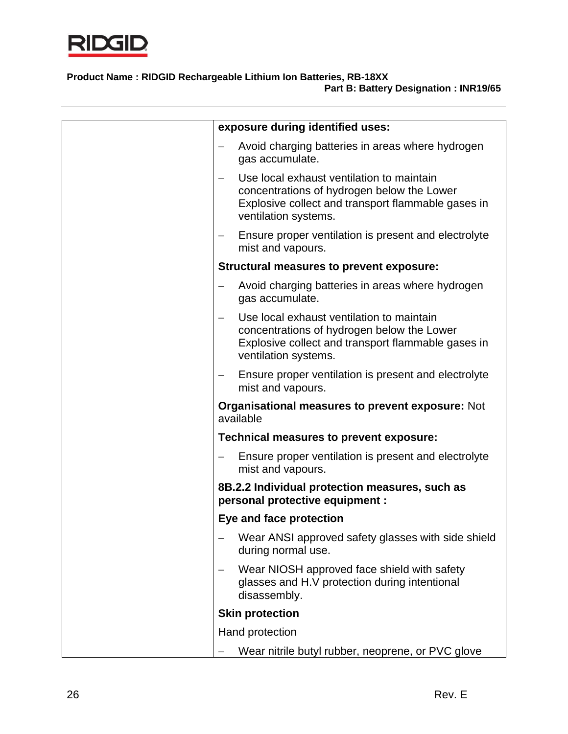

| exposure during identified uses:                                                                                                                                      |
|-----------------------------------------------------------------------------------------------------------------------------------------------------------------------|
| Avoid charging batteries in areas where hydrogen<br>gas accumulate.                                                                                                   |
| Use local exhaust ventilation to maintain<br>concentrations of hydrogen below the Lower<br>Explosive collect and transport flammable gases in<br>ventilation systems. |
| Ensure proper ventilation is present and electrolyte<br>$\qquad \qquad -$<br>mist and vapours.                                                                        |
| Structural measures to prevent exposure:                                                                                                                              |
| Avoid charging batteries in areas where hydrogen<br>gas accumulate.                                                                                                   |
| Use local exhaust ventilation to maintain<br>concentrations of hydrogen below the Lower<br>Explosive collect and transport flammable gases in<br>ventilation systems. |
| Ensure proper ventilation is present and electrolyte<br>$\qquad \qquad -$<br>mist and vapours.                                                                        |
| <b>Organisational measures to prevent exposure: Not</b><br>available                                                                                                  |
| Technical measures to prevent exposure:                                                                                                                               |
| Ensure proper ventilation is present and electrolyte<br>mist and vapours.                                                                                             |
| 8B.2.2 Individual protection measures, such as<br>personal protective equipment :                                                                                     |
| Eye and face protection                                                                                                                                               |
| Wear ANSI approved safety glasses with side shield<br>during normal use.                                                                                              |
| Wear NIOSH approved face shield with safety<br>glasses and H.V protection during intentional<br>disassembly.                                                          |
| <b>Skin protection</b>                                                                                                                                                |
| Hand protection                                                                                                                                                       |
| Wear nitrile butyl rubber, neoprene, or PVC glove                                                                                                                     |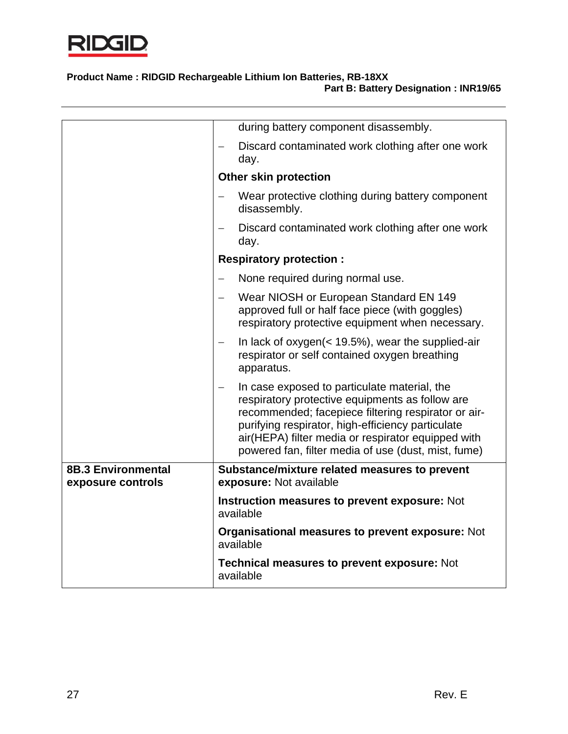

|                                                | during battery component disassembly.                                                                                                                                                                                                                                                                                    |  |  |
|------------------------------------------------|--------------------------------------------------------------------------------------------------------------------------------------------------------------------------------------------------------------------------------------------------------------------------------------------------------------------------|--|--|
|                                                | Discard contaminated work clothing after one work<br>day.                                                                                                                                                                                                                                                                |  |  |
|                                                | <b>Other skin protection</b>                                                                                                                                                                                                                                                                                             |  |  |
|                                                | Wear protective clothing during battery component<br>disassembly.                                                                                                                                                                                                                                                        |  |  |
|                                                | Discard contaminated work clothing after one work<br>day.                                                                                                                                                                                                                                                                |  |  |
|                                                | <b>Respiratory protection:</b>                                                                                                                                                                                                                                                                                           |  |  |
|                                                | None required during normal use.                                                                                                                                                                                                                                                                                         |  |  |
|                                                | Wear NIOSH or European Standard EN 149<br>approved full or half face piece (with goggles)<br>respiratory protective equipment when necessary.                                                                                                                                                                            |  |  |
|                                                | In lack of oxygen $($ < 19.5%), wear the supplied-air<br>respirator or self contained oxygen breathing<br>apparatus.                                                                                                                                                                                                     |  |  |
|                                                | In case exposed to particulate material, the<br>respiratory protective equipments as follow are<br>recommended; facepiece filtering respirator or air-<br>purifying respirator, high-efficiency particulate<br>air(HEPA) filter media or respirator equipped with<br>powered fan, filter media of use (dust, mist, fume) |  |  |
| <b>8B.3 Environmental</b><br>exposure controls | Substance/mixture related measures to prevent<br>exposure: Not available                                                                                                                                                                                                                                                 |  |  |
|                                                |                                                                                                                                                                                                                                                                                                                          |  |  |
|                                                | Instruction measures to prevent exposure: Not<br>available                                                                                                                                                                                                                                                               |  |  |
|                                                | Organisational measures to prevent exposure: Not<br>available                                                                                                                                                                                                                                                            |  |  |
|                                                | <b>Technical measures to prevent exposure: Not</b><br>available                                                                                                                                                                                                                                                          |  |  |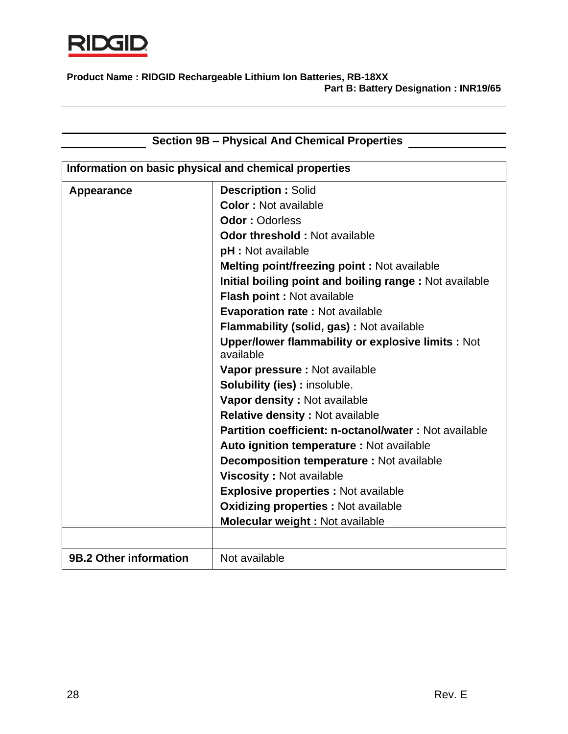

| <b>Section 9B - Physical And Chemical Properties</b>  |                                                                       |  |
|-------------------------------------------------------|-----------------------------------------------------------------------|--|
|                                                       |                                                                       |  |
| Information on basic physical and chemical properties |                                                                       |  |
| Appearance                                            | <b>Description: Solid</b>                                             |  |
|                                                       | <b>Color: Not available</b>                                           |  |
|                                                       | <b>Odor: Odorless</b>                                                 |  |
|                                                       | <b>Odor threshold: Not available</b>                                  |  |
|                                                       | pH : Not available                                                    |  |
|                                                       | <b>Melting point/freezing point: Not available</b>                    |  |
|                                                       | Initial boiling point and boiling range: Not available                |  |
|                                                       | Flash point : Not available                                           |  |
|                                                       | <b>Evaporation rate: Not available</b>                                |  |
|                                                       | Flammability (solid, gas) : Not available                             |  |
|                                                       | <b>Upper/lower flammability or explosive limits: Not</b><br>available |  |
|                                                       | Vapor pressure : Not available                                        |  |
|                                                       | <b>Solubility (ies): insoluble.</b>                                   |  |
|                                                       | Vapor density: Not available                                          |  |
|                                                       | Relative density : Not available                                      |  |
|                                                       | Partition coefficient: n-octanol/water: Not available                 |  |
|                                                       | Auto ignition temperature : Not available                             |  |
|                                                       | <b>Decomposition temperature: Not available</b>                       |  |
|                                                       | <b>Viscosity: Not available</b>                                       |  |
|                                                       | <b>Explosive properties : Not available</b>                           |  |
|                                                       | <b>Oxidizing properties : Not available</b>                           |  |
|                                                       | Molecular weight : Not available                                      |  |
|                                                       |                                                                       |  |
| 9B.2 Other information                                | Not available                                                         |  |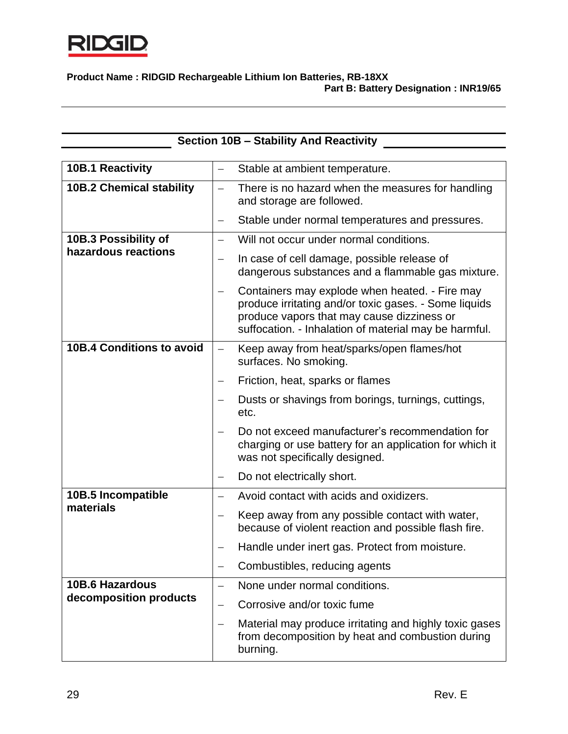

|                                  | <b>Section 10B - Stability And Reactivity</b>                                                                                                                                                                  |
|----------------------------------|----------------------------------------------------------------------------------------------------------------------------------------------------------------------------------------------------------------|
| <b>10B.1 Reactivity</b>          | Stable at ambient temperature.                                                                                                                                                                                 |
|                                  |                                                                                                                                                                                                                |
| <b>10B.2 Chemical stability</b>  | There is no hazard when the measures for handling<br>$\overline{\phantom{0}}$<br>and storage are followed.                                                                                                     |
|                                  | Stable under normal temperatures and pressures.                                                                                                                                                                |
| 10B.3 Possibility of             | Will not occur under normal conditions.<br>$\overline{\phantom{0}}$                                                                                                                                            |
| hazardous reactions              | In case of cell damage, possible release of<br>—<br>dangerous substances and a flammable gas mixture.                                                                                                          |
|                                  | Containers may explode when heated. - Fire may<br>produce irritating and/or toxic gases. - Some liquids<br>produce vapors that may cause dizziness or<br>suffocation. - Inhalation of material may be harmful. |
| <b>10B.4 Conditions to avoid</b> | Keep away from heat/sparks/open flames/hot<br>$\overline{\phantom{m}}$<br>surfaces. No smoking.                                                                                                                |
|                                  | Friction, heat, sparks or flames                                                                                                                                                                               |
|                                  | Dusts or shavings from borings, turnings, cuttings,<br>etc.                                                                                                                                                    |
|                                  | Do not exceed manufacturer's recommendation for<br>charging or use battery for an application for which it<br>was not specifically designed.                                                                   |
|                                  | Do not electrically short.                                                                                                                                                                                     |
| 10B.5 Incompatible               | Avoid contact with acids and oxidizers.<br>$\overline{\phantom{0}}$                                                                                                                                            |
| materials                        | Keep away from any possible contact with water,<br>—<br>because of violent reaction and possible flash fire.                                                                                                   |
|                                  | Handle under inert gas. Protect from moisture.                                                                                                                                                                 |
|                                  | Combustibles, reducing agents<br>$\qquad \qquad -$                                                                                                                                                             |
| <b>10B.6 Hazardous</b>           | None under normal conditions.<br>$\overline{\phantom{0}}$                                                                                                                                                      |
| decomposition products           | Corrosive and/or toxic fume                                                                                                                                                                                    |
|                                  | Material may produce irritating and highly toxic gases<br>$\overline{\phantom{0}}$<br>from decomposition by heat and combustion during<br>burning.                                                             |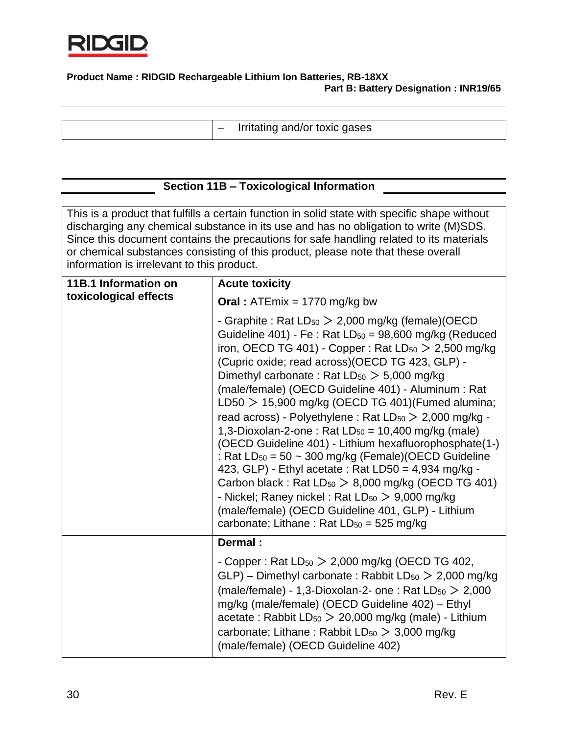

− Irritating and/or toxic gases

## **Section 11B – Toxicological Information**

This is a product that fulfills a certain function in solid state with specific shape without discharging any chemical substance in its use and has no obligation to write (M)SDS. Since this document contains the precautions for safe handling related to its materials or chemical substances consisting of this product, please note that these overall information is irrelevant to this product.

| 11B.1 Information on  | <b>Acute toxicity</b>                                                                                                                                                                                                                                                                                                                                                                                                                                                                                                                                                                                                                                                                                                                                                                                                                                                                                                                        |  |  |
|-----------------------|----------------------------------------------------------------------------------------------------------------------------------------------------------------------------------------------------------------------------------------------------------------------------------------------------------------------------------------------------------------------------------------------------------------------------------------------------------------------------------------------------------------------------------------------------------------------------------------------------------------------------------------------------------------------------------------------------------------------------------------------------------------------------------------------------------------------------------------------------------------------------------------------------------------------------------------------|--|--|
| toxicological effects | <b>Oral</b> : $ATEmix = 1770$ mg/kg bw                                                                                                                                                                                                                                                                                                                                                                                                                                                                                                                                                                                                                                                                                                                                                                                                                                                                                                       |  |  |
|                       | - Graphite : Rat $LD_{50}$ $>$ 2,000 mg/kg (female)(OECD<br>Guideline 401) - Fe : Rat $LD_{50} = 98,600$ mg/kg (Reduced<br>iron, OECD TG 401) - Copper: Rat $LD_{50}$ > 2,500 mg/kg<br>(Cupric oxide; read across) (OECD TG 423, GLP) -<br>Dimethyl carbonate: Rat $LD_{50} > 5,000$ mg/kg<br>(male/female) (OECD Guideline 401) - Aluminum : Rat<br>LD50 $>$ 15,900 mg/kg (OECD TG 401)(Fumed alumina;<br>read across) - Polyethylene : Rat $LD_{50}$ $>$ 2,000 mg/kg -<br>1,3-Dioxolan-2-one: Rat $LD_{50} = 10,400$ mg/kg (male)<br>(OECD Guideline 401) - Lithium hexafluorophosphate(1-)<br>: Rat $LD_{50} = 50 \sim 300$ mg/kg (Female)(OECD Guideline<br>423, GLP) - Ethyl acetate : Rat LD50 = 4,934 mg/kg -<br>Carbon black: Rat $LD_{50} > 8,000$ mg/kg (OECD TG 401)<br>- Nickel; Raney nickel: Rat $LD_{50} > 9,000$ mg/kg<br>(male/female) (OECD Guideline 401, GLP) - Lithium<br>carbonate; Lithane: Rat $LD_{50} = 525$ mg/kg |  |  |
|                       | Dermal:                                                                                                                                                                                                                                                                                                                                                                                                                                                                                                                                                                                                                                                                                                                                                                                                                                                                                                                                      |  |  |
|                       | - Copper: Rat $LD_{50}$ $>$ 2,000 mg/kg (OECD TG 402,<br>$GLP$ ) – Dimethyl carbonate: Rabbit $LD_{50}$ > 2,000 mg/kg<br>(male/female) - 1,3-Dioxolan-2- one : Rat $LD_{50} > 2,000$<br>mg/kg (male/female) (OECD Guideline 402) - Ethyl<br>$\alpha$ cetate : Rabbit LD <sub>50</sub> $>$ 20,000 mg/kg (male) - Lithium<br>carbonate; Lithane: Rabbit $LD_{50} > 3,000$ mg/kg<br>(male/female) (OECD Guideline 402)                                                                                                                                                                                                                                                                                                                                                                                                                                                                                                                          |  |  |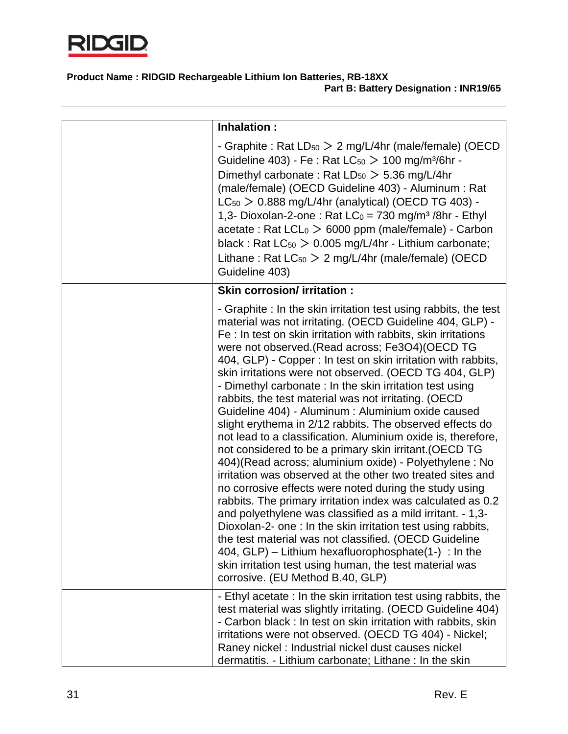

| Inhalation :                                                                                                                                                                                                                                                                                                                                                                                                                                                                                                                                                                                                                                                                                                                                                                                                                                                                                                                                                                                                                                                                                                                                                                                                                                                                                                                                  |
|-----------------------------------------------------------------------------------------------------------------------------------------------------------------------------------------------------------------------------------------------------------------------------------------------------------------------------------------------------------------------------------------------------------------------------------------------------------------------------------------------------------------------------------------------------------------------------------------------------------------------------------------------------------------------------------------------------------------------------------------------------------------------------------------------------------------------------------------------------------------------------------------------------------------------------------------------------------------------------------------------------------------------------------------------------------------------------------------------------------------------------------------------------------------------------------------------------------------------------------------------------------------------------------------------------------------------------------------------|
| - Graphite : Rat $LD_{50} > 2$ mg/L/4hr (male/female) (OECD<br>Guideline 403) - Fe : Rat $LC_{50}$ $>$ 100 mg/m <sup>3</sup> /6hr -<br>Dimethyl carbonate: Rat $LD_{50} > 5.36$ mg/L/4hr<br>(male/female) (OECD Guideline 403) - Aluminum : Rat<br>$LC_{50}$ > 0.888 mg/L/4hr (analytical) (OECD TG 403) -<br>1,3- Dioxolan-2-one: Rat $LC_0 = 730$ mg/m <sup>3</sup> /8hr - Ethyl<br>$\alpha$ cetate : Rat LCL $_0 > 6000$ ppm (male/female) - Carbon<br>black: Rat $LC_{50}$ $> 0.005$ mg/L/4hr - Lithium carbonate;<br>Lithane: Rat $LC_{50} > 2$ mg/L/4hr (male/female) (OECD<br>Guideline 403)                                                                                                                                                                                                                                                                                                                                                                                                                                                                                                                                                                                                                                                                                                                                           |
| <b>Skin corrosion/ irritation:</b>                                                                                                                                                                                                                                                                                                                                                                                                                                                                                                                                                                                                                                                                                                                                                                                                                                                                                                                                                                                                                                                                                                                                                                                                                                                                                                            |
| - Graphite: In the skin irritation test using rabbits, the test<br>material was not irritating. (OECD Guideline 404, GLP) -<br>Fe: In test on skin irritation with rabbits, skin irritations<br>were not observed. (Read across; Fe3O4) (OECD TG<br>404, GLP) - Copper : In test on skin irritation with rabbits,<br>skin irritations were not observed. (OECD TG 404, GLP)<br>- Dimethyl carbonate : In the skin irritation test using<br>rabbits, the test material was not irritating. (OECD<br>Guideline 404) - Aluminum : Aluminium oxide caused<br>slight erythema in 2/12 rabbits. The observed effects do<br>not lead to a classification. Aluminium oxide is, therefore,<br>not considered to be a primary skin irritant. (OECD TG<br>404) (Read across; aluminium oxide) - Polyethylene : No<br>irritation was observed at the other two treated sites and<br>no corrosive effects were noted during the study using<br>rabbits. The primary irritation index was calculated as 0.2<br>and polyethylene was classified as a mild irritant. - 1,3-<br>Dioxolan-2- one: In the skin irritation test using rabbits.<br>the test material was not classified. (OECD Guideline<br>404, $GLP$ ) – Lithium hexafluorophosphate(1-) : In the<br>skin irritation test using human, the test material was<br>corrosive. (EU Method B.40, GLP) |
| - Ethyl acetate: In the skin irritation test using rabbits, the<br>test material was slightly irritating. (OECD Guideline 404)<br>- Carbon black: In test on skin irritation with rabbits, skin<br>irritations were not observed. (OECD TG 404) - Nickel;<br>Raney nickel: Industrial nickel dust causes nickel<br>dermatitis. - Lithium carbonate; Lithane: In the skin                                                                                                                                                                                                                                                                                                                                                                                                                                                                                                                                                                                                                                                                                                                                                                                                                                                                                                                                                                      |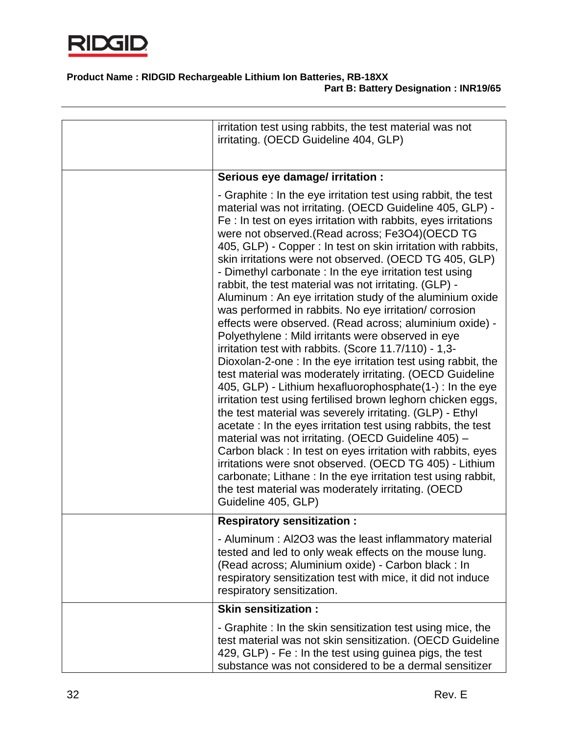

| irritation test using rabbits, the test material was not<br>irritating. (OECD Guideline 404, GLP)                                                                                                                                                                                                                                                                                                                                                                                                                                                                                                                                                                                                                                                                                                                                                                                                                                                                                                                                                                                                                                                                                                                                                                                                                                                                                                                                                                                                               |
|-----------------------------------------------------------------------------------------------------------------------------------------------------------------------------------------------------------------------------------------------------------------------------------------------------------------------------------------------------------------------------------------------------------------------------------------------------------------------------------------------------------------------------------------------------------------------------------------------------------------------------------------------------------------------------------------------------------------------------------------------------------------------------------------------------------------------------------------------------------------------------------------------------------------------------------------------------------------------------------------------------------------------------------------------------------------------------------------------------------------------------------------------------------------------------------------------------------------------------------------------------------------------------------------------------------------------------------------------------------------------------------------------------------------------------------------------------------------------------------------------------------------|
| Serious eye damage/ irritation :                                                                                                                                                                                                                                                                                                                                                                                                                                                                                                                                                                                                                                                                                                                                                                                                                                                                                                                                                                                                                                                                                                                                                                                                                                                                                                                                                                                                                                                                                |
| - Graphite : In the eye irritation test using rabbit, the test<br>material was not irritating. (OECD Guideline 405, GLP) -<br>Fe : In test on eyes irritation with rabbits, eyes irritations<br>were not observed.(Read across; Fe3O4)(OECD TG<br>405, GLP) - Copper : In test on skin irritation with rabbits,<br>skin irritations were not observed. (OECD TG 405, GLP)<br>- Dimethyl carbonate : In the eye irritation test using<br>rabbit, the test material was not irritating. (GLP) -<br>Aluminum: An eye irritation study of the aluminium oxide<br>was performed in rabbits. No eye irritation/corrosion<br>effects were observed. (Read across; aluminium oxide) -<br>Polyethylene: Mild irritants were observed in eye<br>irritation test with rabbits. (Score 11.7/110) - 1,3-<br>Dioxolan-2-one : In the eye irritation test using rabbit, the<br>test material was moderately irritating. (OECD Guideline<br>405, GLP) - Lithium hexafluorophosphate(1-) : In the eye<br>irritation test using fertilised brown leghorn chicken eggs,<br>the test material was severely irritating. (GLP) - Ethyl<br>acetate: In the eyes irritation test using rabbits, the test<br>material was not irritating. (OECD Guideline 405) -<br>Carbon black : In test on eyes irritation with rabbits, eyes<br>irritations were snot observed. (OECD TG 405) - Lithium<br>carbonate; Lithane: In the eye irritation test using rabbit,<br>the test material was moderately irritating. (OECD<br>Guideline 405, GLP) |
| <b>Respiratory sensitization:</b>                                                                                                                                                                                                                                                                                                                                                                                                                                                                                                                                                                                                                                                                                                                                                                                                                                                                                                                                                                                                                                                                                                                                                                                                                                                                                                                                                                                                                                                                               |
| - Aluminum: Al2O3 was the least inflammatory material<br>tested and led to only weak effects on the mouse lung.<br>(Read across; Aluminium oxide) - Carbon black : In<br>respiratory sensitization test with mice, it did not induce<br>respiratory sensitization.                                                                                                                                                                                                                                                                                                                                                                                                                                                                                                                                                                                                                                                                                                                                                                                                                                                                                                                                                                                                                                                                                                                                                                                                                                              |
| <b>Skin sensitization:</b>                                                                                                                                                                                                                                                                                                                                                                                                                                                                                                                                                                                                                                                                                                                                                                                                                                                                                                                                                                                                                                                                                                                                                                                                                                                                                                                                                                                                                                                                                      |
| - Graphite: In the skin sensitization test using mice, the<br>test material was not skin sensitization. (OECD Guideline<br>429, GLP) - Fe : In the test using guinea pigs, the test<br>substance was not considered to be a dermal sensitizer                                                                                                                                                                                                                                                                                                                                                                                                                                                                                                                                                                                                                                                                                                                                                                                                                                                                                                                                                                                                                                                                                                                                                                                                                                                                   |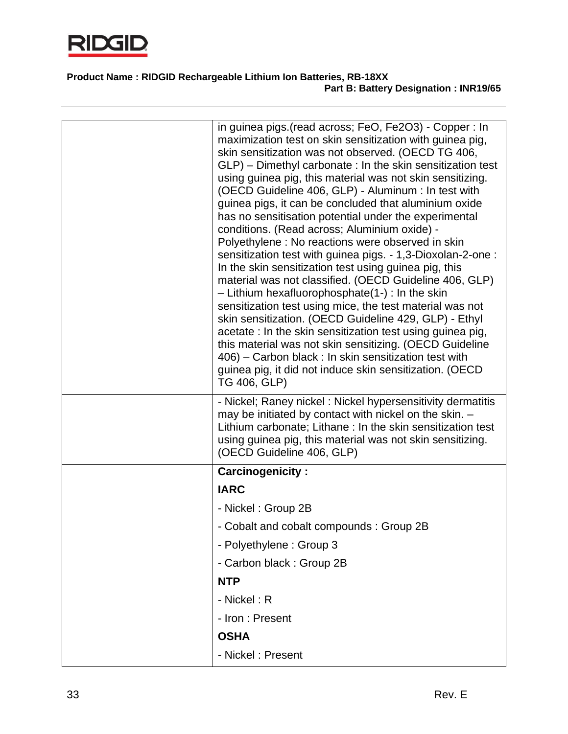

| in guinea pigs. (read across; FeO, Fe2O3) - Copper : In<br>maximization test on skin sensitization with guinea pig,<br>skin sensitization was not observed. (OECD TG 406,<br>$GLP$ ) – Dimethyl carbonate : In the skin sensitization test<br>using guinea pig, this material was not skin sensitizing.<br>(OECD Guideline 406, GLP) - Aluminum : In test with<br>guinea pigs, it can be concluded that aluminium oxide<br>has no sensitisation potential under the experimental<br>conditions. (Read across; Aluminium oxide) -<br>Polyethylene: No reactions were observed in skin<br>sensitization test with guinea pigs. - 1,3-Dioxolan-2-one :<br>In the skin sensitization test using guinea pig, this<br>material was not classified. (OECD Guideline 406, GLP)<br>$-$ Lithium hexafluorophosphate(1-) : In the skin<br>sensitization test using mice, the test material was not<br>skin sensitization. (OECD Guideline 429, GLP) - Ethyl<br>acetate: In the skin sensitization test using guinea pig,<br>this material was not skin sensitizing. (OECD Guideline<br>406) – Carbon black : In skin sensitization test with<br>guinea pig, it did not induce skin sensitization. (OECD<br>TG 406, GLP) |
|--------------------------------------------------------------------------------------------------------------------------------------------------------------------------------------------------------------------------------------------------------------------------------------------------------------------------------------------------------------------------------------------------------------------------------------------------------------------------------------------------------------------------------------------------------------------------------------------------------------------------------------------------------------------------------------------------------------------------------------------------------------------------------------------------------------------------------------------------------------------------------------------------------------------------------------------------------------------------------------------------------------------------------------------------------------------------------------------------------------------------------------------------------------------------------------------------------------|
| - Nickel; Raney nickel: Nickel hypersensitivity dermatitis<br>may be initiated by contact with nickel on the skin. -<br>Lithium carbonate; Lithane: In the skin sensitization test<br>using guinea pig, this material was not skin sensitizing.<br>(OECD Guideline 406, GLP)                                                                                                                                                                                                                                                                                                                                                                                                                                                                                                                                                                                                                                                                                                                                                                                                                                                                                                                                 |
| <b>Carcinogenicity:</b>                                                                                                                                                                                                                                                                                                                                                                                                                                                                                                                                                                                                                                                                                                                                                                                                                                                                                                                                                                                                                                                                                                                                                                                      |
| <b>IARC</b>                                                                                                                                                                                                                                                                                                                                                                                                                                                                                                                                                                                                                                                                                                                                                                                                                                                                                                                                                                                                                                                                                                                                                                                                  |
| - Nickel: Group 2B                                                                                                                                                                                                                                                                                                                                                                                                                                                                                                                                                                                                                                                                                                                                                                                                                                                                                                                                                                                                                                                                                                                                                                                           |
| - Cobalt and cobalt compounds: Group 2B                                                                                                                                                                                                                                                                                                                                                                                                                                                                                                                                                                                                                                                                                                                                                                                                                                                                                                                                                                                                                                                                                                                                                                      |
| - Polyethylene: Group 3                                                                                                                                                                                                                                                                                                                                                                                                                                                                                                                                                                                                                                                                                                                                                                                                                                                                                                                                                                                                                                                                                                                                                                                      |
| - Carbon black: Group 2B                                                                                                                                                                                                                                                                                                                                                                                                                                                                                                                                                                                                                                                                                                                                                                                                                                                                                                                                                                                                                                                                                                                                                                                     |
| <b>NTP</b>                                                                                                                                                                                                                                                                                                                                                                                                                                                                                                                                                                                                                                                                                                                                                                                                                                                                                                                                                                                                                                                                                                                                                                                                   |
| - Nickel: R                                                                                                                                                                                                                                                                                                                                                                                                                                                                                                                                                                                                                                                                                                                                                                                                                                                                                                                                                                                                                                                                                                                                                                                                  |
| - Iron : Present                                                                                                                                                                                                                                                                                                                                                                                                                                                                                                                                                                                                                                                                                                                                                                                                                                                                                                                                                                                                                                                                                                                                                                                             |
| <b>OSHA</b>                                                                                                                                                                                                                                                                                                                                                                                                                                                                                                                                                                                                                                                                                                                                                                                                                                                                                                                                                                                                                                                                                                                                                                                                  |
| - Nickel: Present                                                                                                                                                                                                                                                                                                                                                                                                                                                                                                                                                                                                                                                                                                                                                                                                                                                                                                                                                                                                                                                                                                                                                                                            |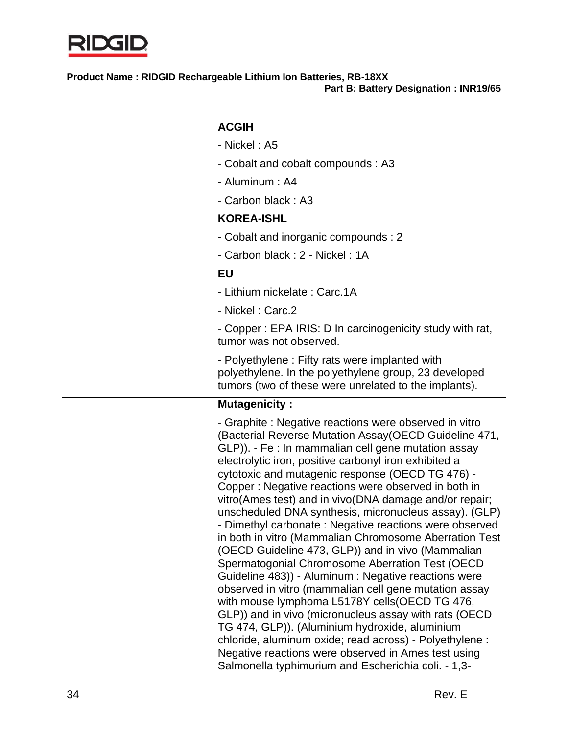

| <b>ACGIH</b>                                                                                                                                                                                                                                                                                                                                                                                                                                                                                                                                                                                                                                                                                                                                                                                                                                                                                                                                                                                                                       |
|------------------------------------------------------------------------------------------------------------------------------------------------------------------------------------------------------------------------------------------------------------------------------------------------------------------------------------------------------------------------------------------------------------------------------------------------------------------------------------------------------------------------------------------------------------------------------------------------------------------------------------------------------------------------------------------------------------------------------------------------------------------------------------------------------------------------------------------------------------------------------------------------------------------------------------------------------------------------------------------------------------------------------------|
| - Nickel: A5                                                                                                                                                                                                                                                                                                                                                                                                                                                                                                                                                                                                                                                                                                                                                                                                                                                                                                                                                                                                                       |
| - Cobalt and cobalt compounds : A3                                                                                                                                                                                                                                                                                                                                                                                                                                                                                                                                                                                                                                                                                                                                                                                                                                                                                                                                                                                                 |
| - Aluminum: A4                                                                                                                                                                                                                                                                                                                                                                                                                                                                                                                                                                                                                                                                                                                                                                                                                                                                                                                                                                                                                     |
| - Carbon black: A3                                                                                                                                                                                                                                                                                                                                                                                                                                                                                                                                                                                                                                                                                                                                                                                                                                                                                                                                                                                                                 |
| <b>KOREA-ISHL</b>                                                                                                                                                                                                                                                                                                                                                                                                                                                                                                                                                                                                                                                                                                                                                                                                                                                                                                                                                                                                                  |
| - Cobalt and inorganic compounds : 2                                                                                                                                                                                                                                                                                                                                                                                                                                                                                                                                                                                                                                                                                                                                                                                                                                                                                                                                                                                               |
| - Carbon black: 2 - Nickel: 1A                                                                                                                                                                                                                                                                                                                                                                                                                                                                                                                                                                                                                                                                                                                                                                                                                                                                                                                                                                                                     |
| EU                                                                                                                                                                                                                                                                                                                                                                                                                                                                                                                                                                                                                                                                                                                                                                                                                                                                                                                                                                                                                                 |
| - Lithium nickelate: Carc.1A                                                                                                                                                                                                                                                                                                                                                                                                                                                                                                                                                                                                                                                                                                                                                                                                                                                                                                                                                                                                       |
| - Nickel: Carc.2                                                                                                                                                                                                                                                                                                                                                                                                                                                                                                                                                                                                                                                                                                                                                                                                                                                                                                                                                                                                                   |
| - Copper: EPA IRIS: D In carcinogenicity study with rat,<br>tumor was not observed.                                                                                                                                                                                                                                                                                                                                                                                                                                                                                                                                                                                                                                                                                                                                                                                                                                                                                                                                                |
| - Polyethylene: Fifty rats were implanted with<br>polyethylene. In the polyethylene group, 23 developed                                                                                                                                                                                                                                                                                                                                                                                                                                                                                                                                                                                                                                                                                                                                                                                                                                                                                                                            |
| tumors (two of these were unrelated to the implants).                                                                                                                                                                                                                                                                                                                                                                                                                                                                                                                                                                                                                                                                                                                                                                                                                                                                                                                                                                              |
| <b>Mutagenicity:</b>                                                                                                                                                                                                                                                                                                                                                                                                                                                                                                                                                                                                                                                                                                                                                                                                                                                                                                                                                                                                               |
| - Graphite: Negative reactions were observed in vitro<br>(Bacterial Reverse Mutation Assay (OECD Guideline 471,<br>GLP)). - Fe : In mammalian cell gene mutation assay<br>electrolytic iron, positive carbonyl iron exhibited a<br>cytotoxic and mutagenic response (OECD TG 476) -<br>Copper: Negative reactions were observed in both in<br>vitro(Ames test) and in vivo(DNA damage and/or repair;<br>unscheduled DNA synthesis, micronucleus assay). (GLP)<br>- Dimethyl carbonate: Negative reactions were observed<br>in both in vitro (Mammalian Chromosome Aberration Test<br>(OECD Guideline 473, GLP)) and in vivo (Mammalian<br>Spermatogonial Chromosome Aberration Test (OECD<br>Guideline 483)) - Aluminum : Negative reactions were<br>observed in vitro (mammalian cell gene mutation assay<br>with mouse lymphoma L5178Y cells (OECD TG 476,<br>GLP)) and in vivo (micronucleus assay with rats (OECD<br>TG 474, GLP)). (Aluminium hydroxide, aluminium<br>chloride, aluminum oxide; read across) - Polyethylene : |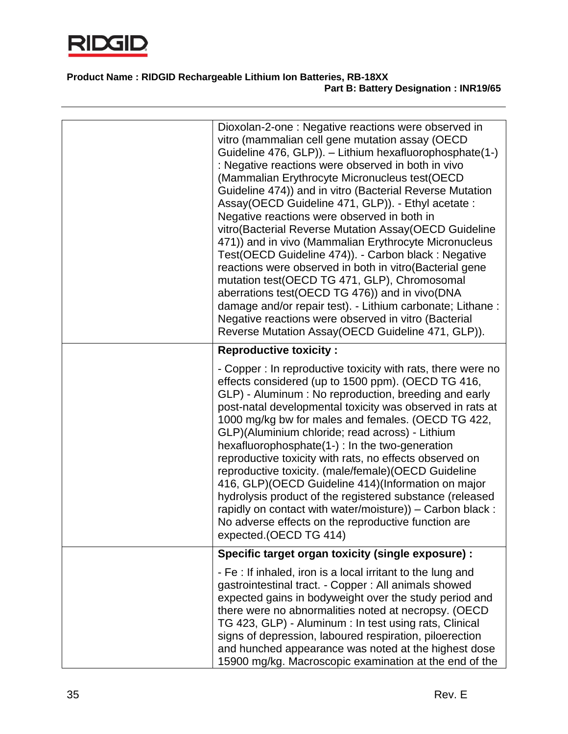

| Dioxolan-2-one: Negative reactions were observed in<br>vitro (mammalian cell gene mutation assay (OECD)<br>Guideline 476, GLP)). - Lithium hexafluorophosphate(1-)<br>: Negative reactions were observed in both in vivo<br>(Mammalian Erythrocyte Micronucleus test(OECD<br>Guideline 474)) and in vitro (Bacterial Reverse Mutation<br>Assay(OECD Guideline 471, GLP)). - Ethyl acetate :<br>Negative reactions were observed in both in<br>vitro (Bacterial Reverse Mutation Assay (OECD Guideline<br>471)) and in vivo (Mammalian Erythrocyte Micronucleus<br>Test(OECD Guideline 474)). - Carbon black : Negative<br>reactions were observed in both in vitro (Bacterial gene<br>mutation test(OECD TG 471, GLP), Chromosomal<br>aberrations test(OECD TG 476)) and in vivo(DNA<br>damage and/or repair test). - Lithium carbonate; Lithane :<br>Negative reactions were observed in vitro (Bacterial<br>Reverse Mutation Assay (OECD Guideline 471, GLP)). |
|------------------------------------------------------------------------------------------------------------------------------------------------------------------------------------------------------------------------------------------------------------------------------------------------------------------------------------------------------------------------------------------------------------------------------------------------------------------------------------------------------------------------------------------------------------------------------------------------------------------------------------------------------------------------------------------------------------------------------------------------------------------------------------------------------------------------------------------------------------------------------------------------------------------------------------------------------------------|
| <b>Reproductive toxicity:</b>                                                                                                                                                                                                                                                                                                                                                                                                                                                                                                                                                                                                                                                                                                                                                                                                                                                                                                                                    |
| - Copper : In reproductive toxicity with rats, there were no<br>effects considered (up to 1500 ppm). (OECD TG 416,<br>GLP) - Aluminum : No reproduction, breeding and early<br>post-natal developmental toxicity was observed in rats at<br>1000 mg/kg bw for males and females. (OECD TG 422,<br>GLP)(Aluminium chloride; read across) - Lithium<br>hexafluorophosphate(1-) : In the two-generation<br>reproductive toxicity with rats, no effects observed on<br>reproductive toxicity. (male/female)(OECD Guideline<br>416, GLP) (OECD Guideline 414) (Information on major<br>hydrolysis product of the registered substance (released<br>rapidly on contact with water/moisture)) - Carbon black :<br>No adverse effects on the reproductive function are<br>expected. (OECD TG 414)                                                                                                                                                                        |
| Specific target organ toxicity (single exposure) :                                                                                                                                                                                                                                                                                                                                                                                                                                                                                                                                                                                                                                                                                                                                                                                                                                                                                                               |
| - Fe : If inhaled, iron is a local irritant to the lung and<br>gastrointestinal tract. - Copper : All animals showed<br>expected gains in bodyweight over the study period and<br>there were no abnormalities noted at necropsy. (OECD<br>TG 423, GLP) - Aluminum : In test using rats, Clinical<br>signs of depression, laboured respiration, piloerection<br>and hunched appearance was noted at the highest dose<br>15900 mg/kg. Macroscopic examination at the end of the                                                                                                                                                                                                                                                                                                                                                                                                                                                                                    |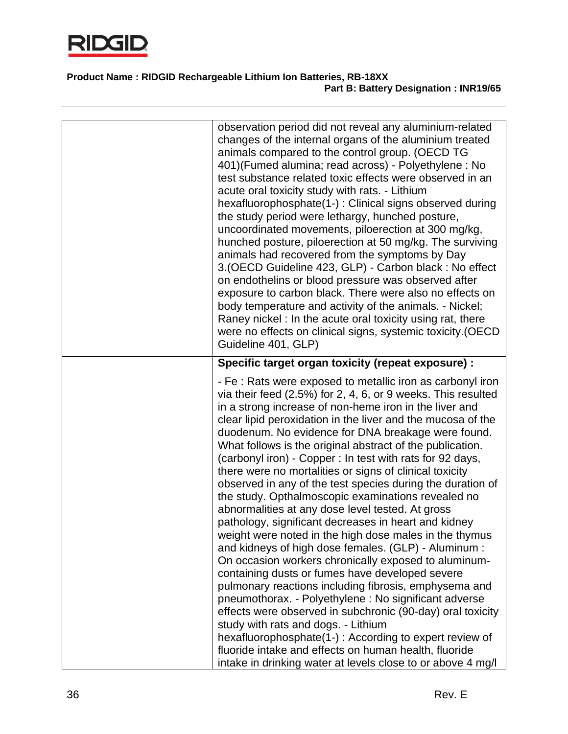

| observation period did not reveal any aluminium-related                                                                                                                                                                                                                                                                                                                                                                                                                                                                                                                                                                                                                                                                                                                                                                                                                                                                                                        |
|----------------------------------------------------------------------------------------------------------------------------------------------------------------------------------------------------------------------------------------------------------------------------------------------------------------------------------------------------------------------------------------------------------------------------------------------------------------------------------------------------------------------------------------------------------------------------------------------------------------------------------------------------------------------------------------------------------------------------------------------------------------------------------------------------------------------------------------------------------------------------------------------------------------------------------------------------------------|
| changes of the internal organs of the aluminium treated<br>animals compared to the control group. (OECD TG<br>401) (Fumed alumina; read across) - Polyethylene: No<br>test substance related toxic effects were observed in an<br>acute oral toxicity study with rats. - Lithium<br>hexafluorophosphate(1-): Clinical signs observed during<br>the study period were lethargy, hunched posture,<br>uncoordinated movements, piloerection at 300 mg/kg,<br>hunched posture, piloerection at 50 mg/kg. The surviving<br>animals had recovered from the symptoms by Day<br>3. (OECD Guideline 423, GLP) - Carbon black: No effect<br>on endothelins or blood pressure was observed after<br>exposure to carbon black. There were also no effects on<br>body temperature and activity of the animals. - Nickel;<br>Raney nickel: In the acute oral toxicity using rat, there<br>were no effects on clinical signs, systemic toxicity.(OECD<br>Guideline 401, GLP)  |
| Specific target organ toxicity (repeat exposure) :                                                                                                                                                                                                                                                                                                                                                                                                                                                                                                                                                                                                                                                                                                                                                                                                                                                                                                             |
| - Fe : Rats were exposed to metallic iron as carbonyl iron<br>via their feed $(2.5\%)$ for 2, 4, 6, or 9 weeks. This resulted<br>in a strong increase of non-heme iron in the liver and<br>clear lipid peroxidation in the liver and the mucosa of the<br>duodenum. No evidence for DNA breakage were found.<br>What follows is the original abstract of the publication.<br>(carbonyl iron) - Copper : In test with rats for 92 days,<br>there were no mortalities or signs of clinical toxicity<br>observed in any of the test species during the duration of<br>the study. Opthalmoscopic examinations revealed no<br>abnormalities at any dose level tested. At gross<br>pathology, significant decreases in heart and kidney<br>weight were noted in the high dose males in the thymus<br>and kidneys of high dose females. (GLP) - Aluminum :<br>On occasion workers chronically exposed to aluminum-<br>containing dusts or fumes have developed severe |
| pulmonary reactions including fibrosis, emphysema and<br>pneumothorax. - Polyethylene : No significant adverse<br>effects were observed in subchronic (90-day) oral toxicity<br>study with rats and dogs. - Lithium                                                                                                                                                                                                                                                                                                                                                                                                                                                                                                                                                                                                                                                                                                                                            |
| hexafluorophosphate(1-): According to expert review of<br>fluoride intake and effects on human health, fluoride<br>intake in drinking water at levels close to or above 4 mg/l                                                                                                                                                                                                                                                                                                                                                                                                                                                                                                                                                                                                                                                                                                                                                                                 |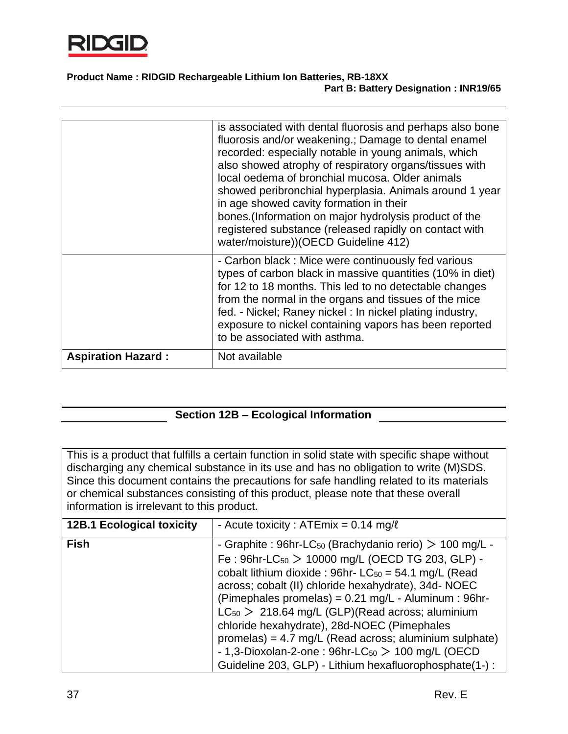

|                           | is associated with dental fluorosis and perhaps also bone<br>fluorosis and/or weakening.; Damage to dental enamel<br>recorded: especially notable in young animals, which<br>also showed atrophy of respiratory organs/tissues with<br>local oedema of bronchial mucosa. Older animals<br>showed peribronchial hyperplasia. Animals around 1 year<br>in age showed cavity formation in their<br>bones.(Information on major hydrolysis product of the<br>registered substance (released rapidly on contact with<br>water/moisture))(OECD Guideline 412) |
|---------------------------|---------------------------------------------------------------------------------------------------------------------------------------------------------------------------------------------------------------------------------------------------------------------------------------------------------------------------------------------------------------------------------------------------------------------------------------------------------------------------------------------------------------------------------------------------------|
|                           | - Carbon black: Mice were continuously fed various<br>types of carbon black in massive quantities (10% in diet)<br>for 12 to 18 months. This led to no detectable changes<br>from the normal in the organs and tissues of the mice<br>fed. - Nickel; Raney nickel : In nickel plating industry,<br>exposure to nickel containing vapors has been reported<br>to be associated with asthma.                                                                                                                                                              |
| <b>Aspiration Hazard:</b> | Not available                                                                                                                                                                                                                                                                                                                                                                                                                                                                                                                                           |

# **Section 12B – Ecological Information**

This is a product that fulfills a certain function in solid state with specific shape without discharging any chemical substance in its use and has no obligation to write (M)SDS. Since this document contains the precautions for safe handling related to its materials or chemical substances consisting of this product, please note that these overall information is irrelevant to this product.

| <b>12B.1 Ecological toxicity</b> | - Acute toxicity : ATEmix = $0.14$ mg/ $\ell$                       |
|----------------------------------|---------------------------------------------------------------------|
| <b>Fish</b>                      | - Graphite : 96hr-LC <sub>50</sub> (Brachydanio rerio) > 100 mg/L - |
|                                  | Fe: $96hr$ -LC <sub>50</sub> > 10000 mg/L (OECD TG 203, GLP) -      |
|                                  | cobalt lithium dioxide : 96hr- $LC_{50} = 54.1$ mg/L (Read          |
|                                  | across; cobalt (II) chloride hexahydrate), 34d-NOEC                 |
|                                  | (Pimephales promelas) = $0.21$ mg/L - Aluminum : 96hr-              |
|                                  | $LC_{50}$ > 218.64 mg/L (GLP)(Read across; aluminium                |
|                                  | chloride hexahydrate), 28d-NOEC (Pimephales                         |
|                                  | promelas) = $4.7$ mg/L (Read across; aluminium sulphate)            |
|                                  | - 1,3-Dioxolan-2-one: $96hr$ -LC $_{50}$ > 100 mg/L (OECD           |
|                                  | Guideline 203, GLP) - Lithium hexafluorophosphate(1-):              |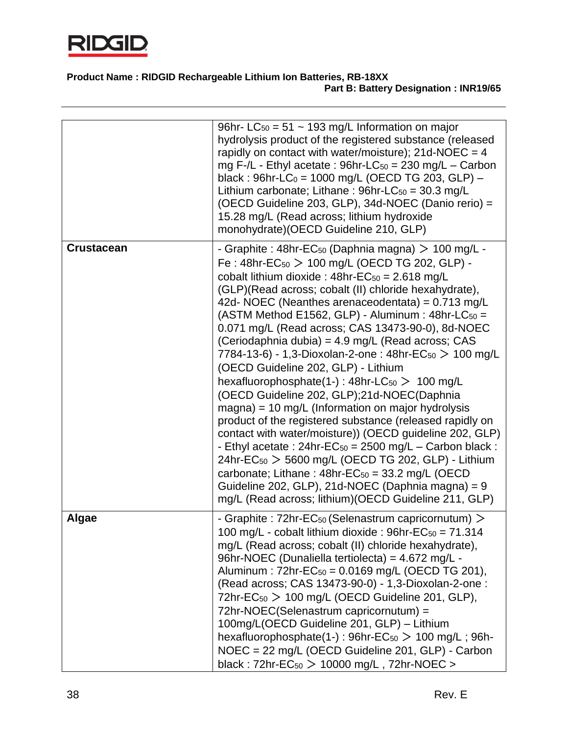

|                   | 96hr- LC <sub>50</sub> = 51 ~ 193 mg/L Information on major<br>hydrolysis product of the registered substance (released<br>rapidly on contact with water/moisture); $21d$ -NOEC = 4<br>mg F-/L - Ethyl acetate : $96hr$ -LC <sub>50</sub> = 230 mg/L – Carbon<br>black: $96hr$ -LC <sub>0</sub> = 1000 mg/L (OECD TG 203, GLP) -<br>Lithium carbonate; Lithane: $96hr$ -LC $_{50}$ = 30.3 mg/L<br>(OECD Guideline 203, GLP), 34d-NOEC (Danio rerio) =<br>15.28 mg/L (Read across; lithium hydroxide<br>monohydrate)(OECD Guideline 210, GLP)                                                                                                                                                                                                                                                                                                                                                                                                                                                                                                                                                                                                                                                                      |
|-------------------|-------------------------------------------------------------------------------------------------------------------------------------------------------------------------------------------------------------------------------------------------------------------------------------------------------------------------------------------------------------------------------------------------------------------------------------------------------------------------------------------------------------------------------------------------------------------------------------------------------------------------------------------------------------------------------------------------------------------------------------------------------------------------------------------------------------------------------------------------------------------------------------------------------------------------------------------------------------------------------------------------------------------------------------------------------------------------------------------------------------------------------------------------------------------------------------------------------------------|
| <b>Crustacean</b> | - Graphite : 48hr-EC <sub>50</sub> (Daphnia magna) $> 100$ mg/L -<br>Fe: 48hr-EC <sub>50</sub> > 100 mg/L (OECD TG 202, GLP) -<br>cobalt lithium dioxide: $48hr-EC_{50} = 2.618 mg/L$<br>(GLP)(Read across; cobalt (II) chloride hexahydrate),<br>42d- NOEC (Neanthes arenaceodentata) = 0.713 mg/L<br>(ASTM Method E1562, GLP) - Aluminum : 48hr-LC <sub>50</sub> =<br>0.071 mg/L (Read across; CAS 13473-90-0), 8d-NOEC<br>(Ceriodaphnia dubia) = 4.9 mg/L (Read across; CAS<br>7784-13-6) - 1,3-Dioxolan-2-one : 48hr-EC <sub>50</sub> $>$ 100 mg/L<br>(OECD Guideline 202, GLP) - Lithium<br>hexafluorophosphate(1-): $48hr\text{-}LC_{50} > 100 \text{ mg/L}$<br>(OECD Guideline 202, GLP);21d-NOEC(Daphnia<br>magna) = 10 mg/L (Information on major hydrolysis<br>product of the registered substance (released rapidly on<br>contact with water/moisture)) (OECD guideline 202, GLP)<br>- Ethyl acetate : $24hr$ -EC <sub>50</sub> = $2500$ mg/L – Carbon black :<br>24hr-EC <sub>50</sub> > 5600 mg/L (OECD TG 202, GLP) - Lithium<br>carbonate; Lithane: $48hr-EC_{50} = 33.2$ mg/L (OECD<br>Guideline 202, GLP), 21d-NOEC (Daphnia magna) = 9<br>mg/L (Read across; lithium) (OECD Guideline 211, GLP) |
| <b>Algae</b>      | - Graphite : $72$ hr-EC <sub>50</sub> (Selenastrum capricornutum) $>$<br>100 mg/L - cobalt lithium dioxide : 96hr-EC <sub>50</sub> = 71.314<br>mg/L (Read across; cobalt (II) chloride hexahydrate),<br>96hr-NOEC (Dunaliella tertiolecta) = 4.672 mg/L -<br>Aluminum: $72hr$ -EC <sub>50</sub> = 0.0169 mg/L (OECD TG 201),<br>(Read across; CAS 13473-90-0) - 1,3-Dioxolan-2-one :<br>72hr-EC $_{50}$ > 100 mg/L (OECD Guideline 201, GLP),<br>72hr-NOEC(Selenastrum capricornutum) =<br>100mg/L(OECD Guideline 201, GLP) - Lithium<br>hexafluorophosphate(1-): $96hr-EC_{50} > 100$ mg/L; $96h-$<br>NOEC = 22 mg/L (OECD Guideline 201, GLP) - Carbon<br>black: $72hr$ -EC <sub>50</sub> > 10000 mg/L, $72hr$ -NOEC >                                                                                                                                                                                                                                                                                                                                                                                                                                                                                          |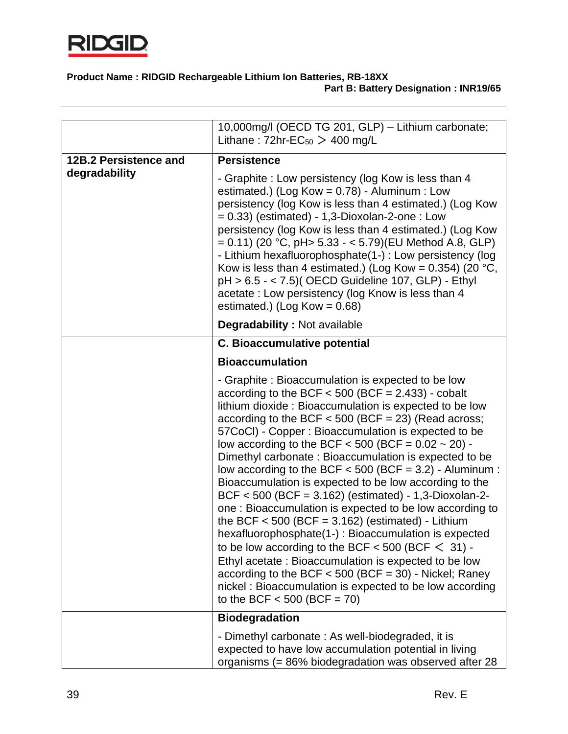

|                       | 10,000mg/l (OECD TG 201, GLP) - Lithium carbonate;<br>Lithane: $72hr$ -EC <sub>50</sub> > 400 mg/L                                                                                                                                                                                                                                                                                                                                                                                                                                                                                                                                                                                                                                                                                                                                                                                                                                                                                                                                             |
|-----------------------|------------------------------------------------------------------------------------------------------------------------------------------------------------------------------------------------------------------------------------------------------------------------------------------------------------------------------------------------------------------------------------------------------------------------------------------------------------------------------------------------------------------------------------------------------------------------------------------------------------------------------------------------------------------------------------------------------------------------------------------------------------------------------------------------------------------------------------------------------------------------------------------------------------------------------------------------------------------------------------------------------------------------------------------------|
| 12B.2 Persistence and | <b>Persistence</b>                                                                                                                                                                                                                                                                                                                                                                                                                                                                                                                                                                                                                                                                                                                                                                                                                                                                                                                                                                                                                             |
| degradability         | - Graphite: Low persistency (log Kow is less than 4<br>estimated.) (Log Kow = $0.78$ ) - Aluminum : Low<br>persistency (log Kow is less than 4 estimated.) (Log Kow<br>$= 0.33$ ) (estimated) - 1,3-Dioxolan-2-one : Low<br>persistency (log Kow is less than 4 estimated.) (Log Kow<br>$= 0.11$ ) (20 °C, pH> 5.33 - < 5.79)(EU Method A.8, GLP)<br>- Lithium hexafluorophosphate(1-) : Low persistency (log<br>Kow is less than 4 estimated.) (Log Kow = $0.354$ ) (20 °C,<br>pH > 6.5 - < 7.5)( OECD Guideline 107, GLP) - Ethyl<br>acetate: Low persistency (log Know is less than 4<br>estimated.) (Log Kow = $0.68$ )                                                                                                                                                                                                                                                                                                                                                                                                                    |
|                       | <b>Degradability: Not available</b>                                                                                                                                                                                                                                                                                                                                                                                                                                                                                                                                                                                                                                                                                                                                                                                                                                                                                                                                                                                                            |
|                       | <b>C. Bioaccumulative potential</b>                                                                                                                                                                                                                                                                                                                                                                                                                                                                                                                                                                                                                                                                                                                                                                                                                                                                                                                                                                                                            |
|                       | <b>Bioaccumulation</b>                                                                                                                                                                                                                                                                                                                                                                                                                                                                                                                                                                                                                                                                                                                                                                                                                                                                                                                                                                                                                         |
|                       | - Graphite: Bioaccumulation is expected to be low<br>according to the BCF $<$ 500 (BCF = 2.433) - cobalt<br>lithium dioxide: Bioaccumulation is expected to be low<br>according to the BCF $<$ 500 (BCF = 23) (Read across;<br>57CoCl) - Copper : Bioaccumulation is expected to be<br>low according to the BCF $<$ 500 (BCF = 0.02 $\sim$ 20) -<br>Dimethyl carbonate: Bioaccumulation is expected to be<br>low according to the BCF $<$ 500 (BCF = 3.2) - Aluminum :<br>Bioaccumulation is expected to be low according to the<br>$BCF < 500$ (BCF = 3.162) (estimated) - 1,3-Dioxolan-2-<br>one: Bioaccumulation is expected to be low according to<br>the BCF $<$ 500 (BCF = 3.162) (estimated) - Lithium<br>hexafluorophosphate(1-) : Bioaccumulation is expected<br>to be low according to the BCF $<$ 500 (BCF $<$ 31) -<br>Ethyl acetate: Bioaccumulation is expected to be low<br>according to the BCF $<$ 500 (BCF = 30) - Nickel; Raney<br>nickel: Bioaccumulation is expected to be low according<br>to the BCF $<$ 500 (BCF = 70) |
|                       | <b>Biodegradation</b>                                                                                                                                                                                                                                                                                                                                                                                                                                                                                                                                                                                                                                                                                                                                                                                                                                                                                                                                                                                                                          |
|                       | - Dimethyl carbonate: As well-biodegraded, it is<br>expected to have low accumulation potential in living<br>organisms (= 86% biodegradation was observed after 28                                                                                                                                                                                                                                                                                                                                                                                                                                                                                                                                                                                                                                                                                                                                                                                                                                                                             |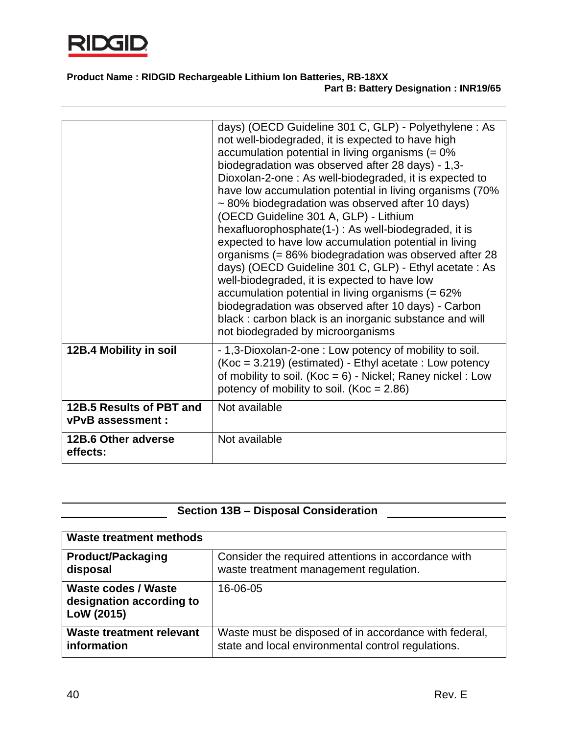

|                                               | days) (OECD Guideline 301 C, GLP) - Polyethylene: As<br>not well-biodegraded, it is expected to have high<br>accumulation potential in living organisms $(= 0\%$<br>biodegradation was observed after 28 days) - 1,3-<br>Dioxolan-2-one: As well-biodegraded, it is expected to<br>have low accumulation potential in living organisms (70%<br>~80% biodegradation was observed after 10 days)<br>(OECD Guideline 301 A, GLP) - Lithium<br>hexafluorophosphate(1-): As well-biodegraded, it is<br>expected to have low accumulation potential in living<br>organisms (= 86% biodegradation was observed after 28<br>days) (OECD Guideline 301 C, GLP) - Ethyl acetate : As<br>well-biodegraded, it is expected to have low<br>accumulation potential in living organisms (= 62%<br>biodegradation was observed after 10 days) - Carbon<br>black: carbon black is an inorganic substance and will<br>not biodegraded by microorganisms |
|-----------------------------------------------|---------------------------------------------------------------------------------------------------------------------------------------------------------------------------------------------------------------------------------------------------------------------------------------------------------------------------------------------------------------------------------------------------------------------------------------------------------------------------------------------------------------------------------------------------------------------------------------------------------------------------------------------------------------------------------------------------------------------------------------------------------------------------------------------------------------------------------------------------------------------------------------------------------------------------------------|
| 12B.4 Mobility in soil                        | - 1,3-Dioxolan-2-one : Low potency of mobility to soil.<br>$(Koc = 3.219)$ (estimated) - Ethyl acetate : Low potency<br>of mobility to soil. (Koc = $6$ ) - Nickel; Raney nickel : Low<br>potency of mobility to soil. (Koc = $2.86$ )                                                                                                                                                                                                                                                                                                                                                                                                                                                                                                                                                                                                                                                                                                |
| 12B.5 Results of PBT and<br>vPvB assessment : | Not available                                                                                                                                                                                                                                                                                                                                                                                                                                                                                                                                                                                                                                                                                                                                                                                                                                                                                                                         |
| 12B.6 Other adverse<br>effects:               | Not available                                                                                                                                                                                                                                                                                                                                                                                                                                                                                                                                                                                                                                                                                                                                                                                                                                                                                                                         |
|                                               |                                                                                                                                                                                                                                                                                                                                                                                                                                                                                                                                                                                                                                                                                                                                                                                                                                                                                                                                       |

# **Section 13B – Disposal Consideration**

| Waste treatment methods                                       |                                                                                                             |
|---------------------------------------------------------------|-------------------------------------------------------------------------------------------------------------|
| <b>Product/Packaging</b><br>disposal                          | Consider the required attentions in accordance with<br>waste treatment management regulation.               |
| Waste codes / Waste<br>designation according to<br>LoW (2015) | 16-06-05                                                                                                    |
| Waste treatment relevant<br>information                       | Waste must be disposed of in accordance with federal,<br>state and local environmental control regulations. |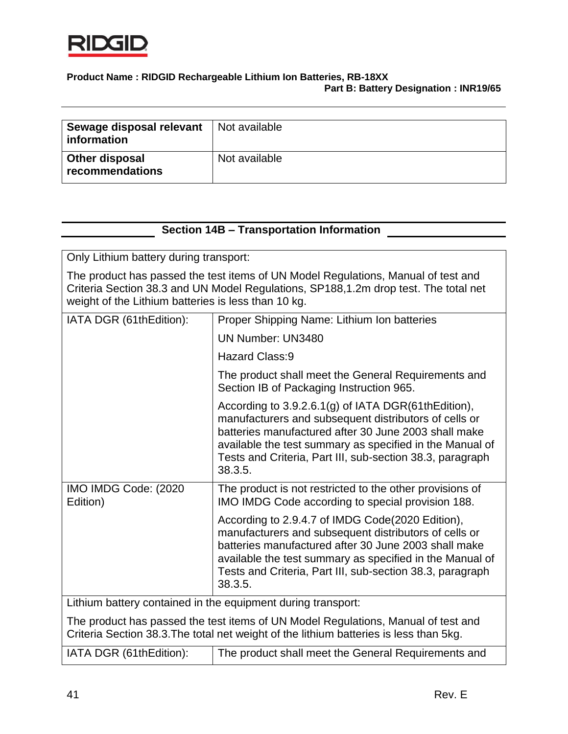

| Sewage disposal relevant<br>information | Not available |
|-----------------------------------------|---------------|
| Other disposal<br>recommendations       | Not available |

### **Section 14B – Transportation Information**

Only Lithium battery during transport:

The product has passed the test items of UN Model Regulations, Manual of test and Criteria Section 38.3 and UN Model Regulations, SP188,1.2m drop test. The total net weight of the Lithium batteries is less than 10 kg.

| IATA DGR (61thEdition):                                                                                                                                                     | Proper Shipping Name: Lithium Ion batteries                                                                                                                                                                                                                                                              |
|-----------------------------------------------------------------------------------------------------------------------------------------------------------------------------|----------------------------------------------------------------------------------------------------------------------------------------------------------------------------------------------------------------------------------------------------------------------------------------------------------|
|                                                                                                                                                                             | UN Number: UN3480                                                                                                                                                                                                                                                                                        |
|                                                                                                                                                                             | Hazard Class:9                                                                                                                                                                                                                                                                                           |
|                                                                                                                                                                             | The product shall meet the General Requirements and<br>Section IB of Packaging Instruction 965.                                                                                                                                                                                                          |
|                                                                                                                                                                             | According to 3.9.2.6.1(g) of IATA DGR(61thEdition),<br>manufacturers and subsequent distributors of cells or<br>batteries manufactured after 30 June 2003 shall make<br>available the test summary as specified in the Manual of<br>Tests and Criteria, Part III, sub-section 38.3, paragraph<br>38.3.5. |
| IMO IMDG Code: (2020)<br>Edition)                                                                                                                                           | The product is not restricted to the other provisions of<br>IMO IMDG Code according to special provision 188.                                                                                                                                                                                            |
|                                                                                                                                                                             | According to 2.9.4.7 of IMDG Code(2020 Edition),<br>manufacturers and subsequent distributors of cells or<br>batteries manufactured after 30 June 2003 shall make<br>available the test summary as specified in the Manual of<br>Tests and Criteria, Part III, sub-section 38.3, paragraph<br>38.3.5.    |
| Lithium battery contained in the equipment during transport:                                                                                                                |                                                                                                                                                                                                                                                                                                          |
| The product has passed the test items of UN Model Regulations, Manual of test and<br>Criteria Section 38.3. The total net weight of the lithium batteries is less than 5kg. |                                                                                                                                                                                                                                                                                                          |
| IATA DGR (61thEdition):                                                                                                                                                     | The product shall meet the General Requirements and                                                                                                                                                                                                                                                      |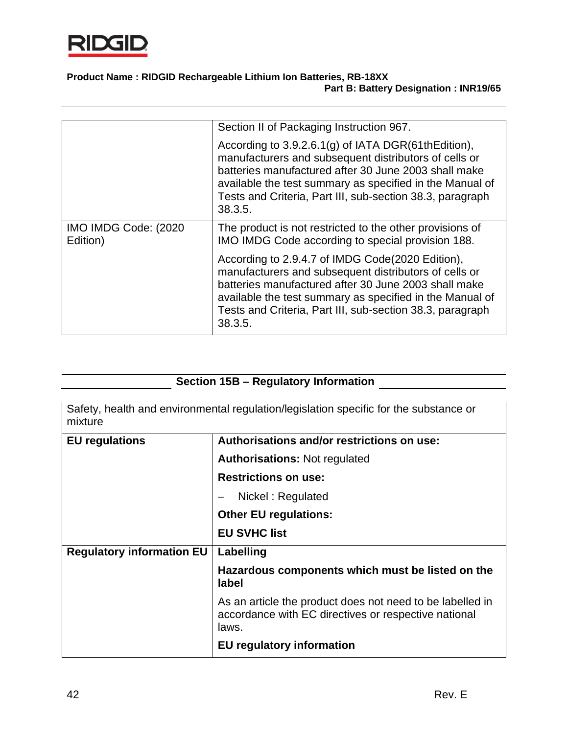

|                                   | Section II of Packaging Instruction 967.                                                                                                                                                                                                                                                                 |
|-----------------------------------|----------------------------------------------------------------------------------------------------------------------------------------------------------------------------------------------------------------------------------------------------------------------------------------------------------|
|                                   | According to 3.9.2.6.1(g) of IATA DGR(61thEdition),<br>manufacturers and subsequent distributors of cells or<br>batteries manufactured after 30 June 2003 shall make<br>available the test summary as specified in the Manual of<br>Tests and Criteria, Part III, sub-section 38.3, paragraph<br>38.3.5. |
| IMO IMDG Code: (2020)<br>Edition) | The product is not restricted to the other provisions of<br>IMO IMDG Code according to special provision 188.                                                                                                                                                                                            |
|                                   | According to 2.9.4.7 of IMDG Code(2020 Edition),<br>manufacturers and subsequent distributors of cells or<br>batteries manufactured after 30 June 2003 shall make<br>available the test summary as specified in the Manual of<br>Tests and Criteria, Part III, sub-section 38.3, paragraph<br>38.3.5.    |

# **Section 15B – Regulatory Information**

| Safety, health and environmental regulation/legislation specific for the substance or<br>mixture |                                                                                                                            |
|--------------------------------------------------------------------------------------------------|----------------------------------------------------------------------------------------------------------------------------|
| <b>EU</b> regulations                                                                            | Authorisations and/or restrictions on use:                                                                                 |
|                                                                                                  | <b>Authorisations: Not regulated</b>                                                                                       |
|                                                                                                  | <b>Restrictions on use:</b>                                                                                                |
|                                                                                                  | Nickel: Regulated                                                                                                          |
|                                                                                                  | <b>Other EU regulations:</b>                                                                                               |
|                                                                                                  | <b>EU SVHC list</b>                                                                                                        |
| <b>Regulatory information EU</b>                                                                 | Labelling                                                                                                                  |
|                                                                                                  | Hazardous components which must be listed on the<br>label                                                                  |
|                                                                                                  | As an article the product does not need to be labelled in<br>accordance with EC directives or respective national<br>laws. |
|                                                                                                  | <b>EU</b> regulatory information                                                                                           |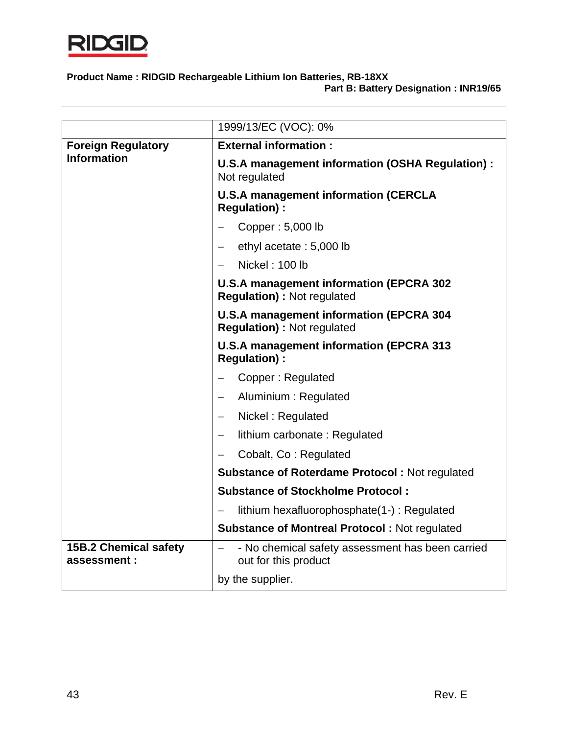

|                                                 | 1999/13/EC (VOC): 0%                                                                                 |
|-------------------------------------------------|------------------------------------------------------------------------------------------------------|
| <b>Foreign Regulatory</b><br><b>Information</b> | <b>External information:</b>                                                                         |
|                                                 | U.S.A management information (OSHA Regulation) :<br>Not regulated                                    |
|                                                 | <b>U.S.A management information (CERCLA</b><br><b>Regulation):</b>                                   |
|                                                 | Copper: 5,000 lb                                                                                     |
|                                                 | ethyl acetate: 5,000 lb                                                                              |
|                                                 | Nickel: 100 lb                                                                                       |
|                                                 | <b>U.S.A management information (EPCRA 302</b><br><b>Regulation): Not regulated</b>                  |
|                                                 | <b>U.S.A management information (EPCRA 304</b><br><b>Regulation): Not regulated</b>                  |
|                                                 | <b>U.S.A management information (EPCRA 313</b><br><b>Regulation):</b>                                |
|                                                 | Copper: Regulated                                                                                    |
|                                                 | Aluminium: Regulated                                                                                 |
|                                                 | Nickel: Regulated                                                                                    |
|                                                 | lithium carbonate: Regulated<br>$\qquad \qquad -$                                                    |
|                                                 | Cobalt, Co: Regulated                                                                                |
|                                                 | <b>Substance of Roterdame Protocol: Not regulated</b>                                                |
|                                                 | <b>Substance of Stockholme Protocol:</b>                                                             |
|                                                 | lithium hexafluorophosphate(1-): Regulated                                                           |
|                                                 | <b>Substance of Montreal Protocol: Not regulated</b>                                                 |
| <b>15B.2 Chemical safety</b><br>assessment:     | - No chemical safety assessment has been carried<br>$\overline{\phantom{0}}$<br>out for this product |
|                                                 | by the supplier.                                                                                     |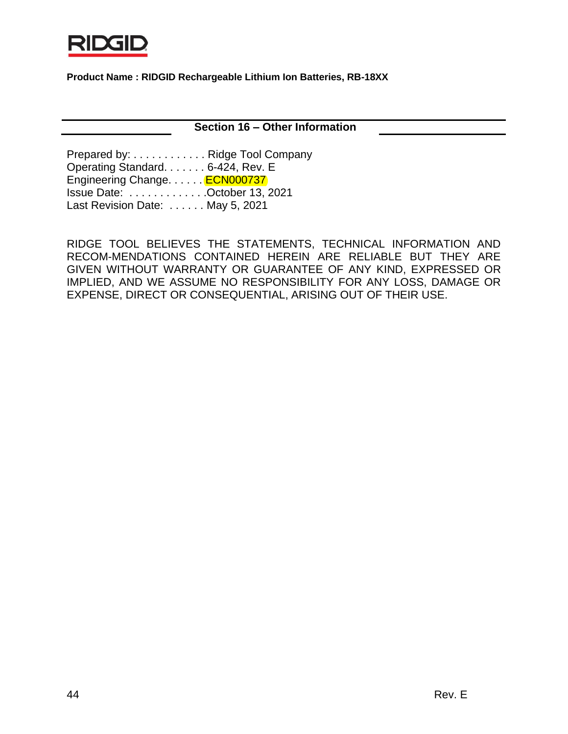

**Section 16 – Other Information**

Prepared by: . . . . . . . . . . . . Ridge Tool Company Operating Standard. . . . . . . 6-424, Rev. E Engineering Change. . . . . . **ECN000737** Issue Date: . . . . . . . . . . . . .October 13, 2021 Last Revision Date: . . . . . . May 5, 2021

RIDGE TOOL BELIEVES THE STATEMENTS, TECHNICAL INFORMATION AND RECOM-MENDATIONS CONTAINED HEREIN ARE RELIABLE BUT THEY ARE GIVEN WITHOUT WARRANTY OR GUARANTEE OF ANY KIND, EXPRESSED OR IMPLIED, AND WE ASSUME NO RESPONSIBILITY FOR ANY LOSS, DAMAGE OR EXPENSE, DIRECT OR CONSEQUENTIAL, ARISING OUT OF THEIR USE.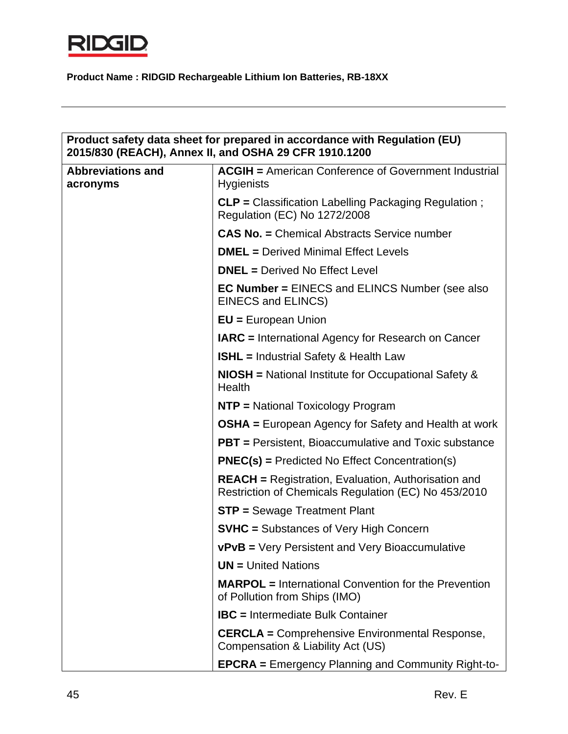

| Product safety data sheet for prepared in accordance with Regulation (EU)<br>2015/830 (REACH), Annex II, and OSHA 29 CFR 1910.1200 |                                                                                                                    |
|------------------------------------------------------------------------------------------------------------------------------------|--------------------------------------------------------------------------------------------------------------------|
| <b>Abbreviations and</b><br>acronyms                                                                                               | <b>ACGIH = American Conference of Government Industrial</b><br><b>Hygienists</b>                                   |
|                                                                                                                                    | CLP = Classification Labelling Packaging Regulation;<br>Regulation (EC) No 1272/2008                               |
|                                                                                                                                    | <b>CAS No. = Chemical Abstracts Service number</b>                                                                 |
|                                                                                                                                    | <b>DMEL</b> = Derived Minimal Effect Levels                                                                        |
|                                                                                                                                    | <b>DNEL</b> = Derived No Effect Level                                                                              |
|                                                                                                                                    | <b>EC Number = EINECS and ELINCS Number (see also)</b><br>EINECS and ELINCS)                                       |
|                                                                                                                                    | $EU = European Union$                                                                                              |
|                                                                                                                                    | <b>IARC</b> = International Agency for Research on Cancer                                                          |
|                                                                                                                                    | <b>ISHL</b> = Industrial Safety & Health Law                                                                       |
|                                                                                                                                    | <b>NIOSH</b> = National Institute for Occupational Safety &<br>Health                                              |
|                                                                                                                                    | <b>NTP</b> = National Toxicology Program                                                                           |
|                                                                                                                                    | <b>OSHA</b> = European Agency for Safety and Health at work                                                        |
|                                                                                                                                    | <b>PBT</b> = Persistent, Bioaccumulative and Toxic substance                                                       |
|                                                                                                                                    | $PNEC(s)$ = Predicted No Effect Concentration(s)                                                                   |
|                                                                                                                                    | <b>REACH</b> = Registration, Evaluation, Authorisation and<br>Restriction of Chemicals Regulation (EC) No 453/2010 |
|                                                                                                                                    | <b>STP = Sewage Treatment Plant</b>                                                                                |
|                                                                                                                                    | <b>SVHC</b> = Substances of Very High Concern                                                                      |
|                                                                                                                                    | vPvB = Very Persistent and Very Bioaccumulative                                                                    |
|                                                                                                                                    | <b>UN</b> = United Nations                                                                                         |
|                                                                                                                                    | <b>MARPOL</b> = International Convention for the Prevention<br>of Pollution from Ships (IMO)                       |
|                                                                                                                                    | <b>IBC</b> = Intermediate Bulk Container                                                                           |
|                                                                                                                                    | <b>CERCLA</b> = Comprehensive Environmental Response,<br>Compensation & Liability Act (US)                         |
|                                                                                                                                    | <b>EPCRA</b> = Emergency Planning and Community Right-to-                                                          |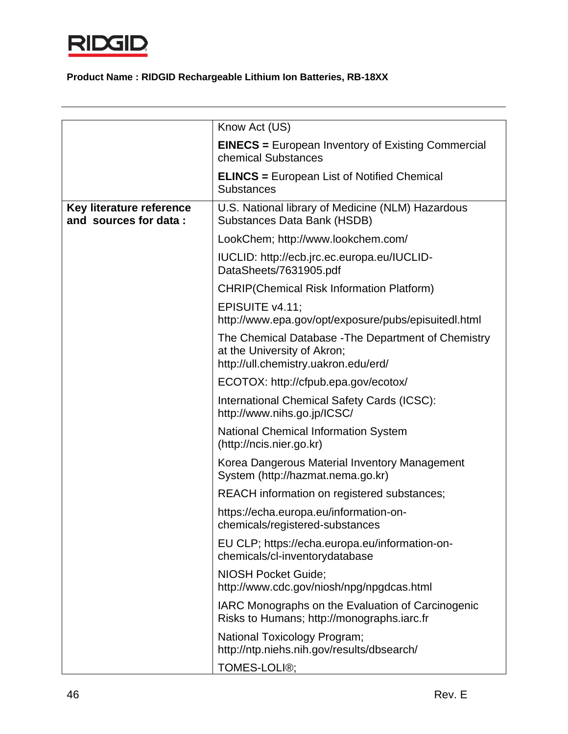

|                                                   | Know Act (US)                                                                                                              |
|---------------------------------------------------|----------------------------------------------------------------------------------------------------------------------------|
|                                                   | <b>EINECS</b> = European Inventory of Existing Commercial<br>chemical Substances                                           |
|                                                   | <b>ELINCS</b> = European List of Notified Chemical<br><b>Substances</b>                                                    |
| Key literature reference<br>and sources for data: | U.S. National library of Medicine (NLM) Hazardous<br><b>Substances Data Bank (HSDB)</b>                                    |
|                                                   | LookChem; http://www.lookchem.com/                                                                                         |
|                                                   | IUCLID: http://ecb.jrc.ec.europa.eu/IUCLID-<br>DataSheets/7631905.pdf                                                      |
|                                                   | <b>CHRIP(Chemical Risk Information Platform)</b>                                                                           |
|                                                   | EPISUITE v4.11;<br>http://www.epa.gov/opt/exposure/pubs/episuitedl.html                                                    |
|                                                   | The Chemical Database - The Department of Chemistry<br>at the University of Akron;<br>http://ull.chemistry.uakron.edu/erd/ |
|                                                   | ECOTOX: http://cfpub.epa.gov/ecotox/                                                                                       |
|                                                   | International Chemical Safety Cards (ICSC):<br>http://www.nihs.go.jp/ICSC/                                                 |
|                                                   | <b>National Chemical Information System</b><br>(http://ncis.nier.go.kr)                                                    |
|                                                   | Korea Dangerous Material Inventory Management<br>System (http://hazmat.nema.go.kr)                                         |
|                                                   | REACH information on registered substances;                                                                                |
|                                                   | https://echa.europa.eu/information-on-<br>chemicals/registered-substances                                                  |
|                                                   | EU CLP; https://echa.europa.eu/information-on-<br>chemicals/cl-inventorydatabase                                           |
|                                                   | <b>NIOSH Pocket Guide;</b><br>http://www.cdc.gov/niosh/npg/npgdcas.html                                                    |
|                                                   | IARC Monographs on the Evaluation of Carcinogenic<br>Risks to Humans; http://monographs.iarc.fr                            |
|                                                   | National Toxicology Program;<br>http://ntp.niehs.nih.gov/results/dbsearch/                                                 |
|                                                   | TOMES-LOLI®;                                                                                                               |